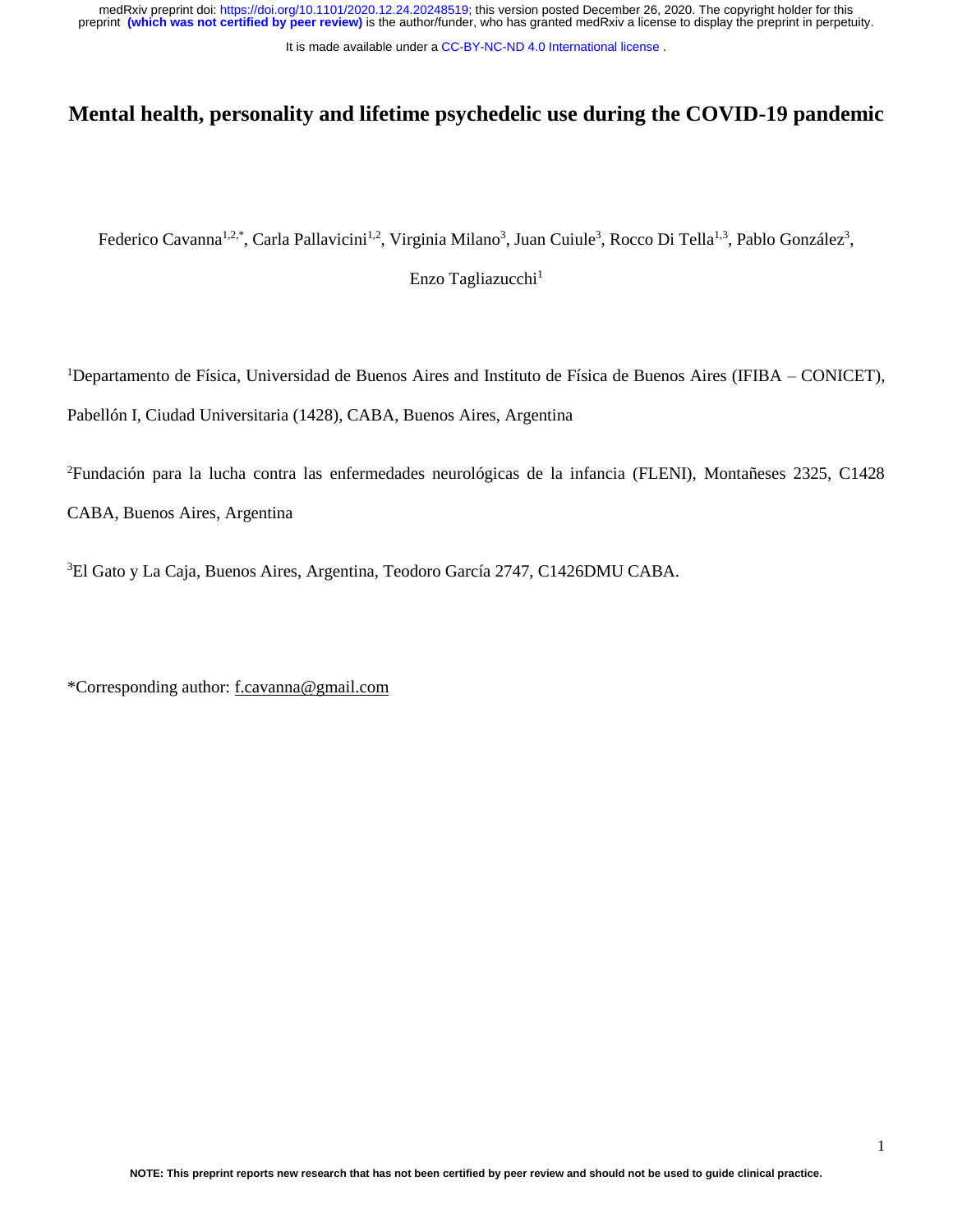It is made available under a [CC-BY-NC-ND 4.0 International license](http://creativecommons.org/licenses/by-nc-nd/4.0/) .

# **Mental health, personality and lifetime psychedelic use during the COVID-19 pandemic**

Federico Cavanna<sup>1,2,\*</sup>, Carla Pallavicini<sup>1,2</sup>, Virginia Milano<sup>3</sup>, Juan Cuiule<sup>3</sup>, Rocco Di Tella<sup>1,3</sup>, Pablo González<sup>3</sup>,

Enzo Tagliazucchi<sup>1</sup>

<sup>1</sup>Departamento de Física, Universidad de Buenos Aires and Instituto de Física de Buenos Aires (IFIBA – CONICET), Pabellón I, Ciudad Universitaria (1428), CABA, Buenos Aires, Argentina

<sup>2</sup>Fundación para la lucha contra las enfermedades neurológicas de la infancia (FLENI), Montañeses 2325, C1428 CABA, Buenos Aires, Argentina

<sup>3</sup>El Gato y La Caja, Buenos Aires, Argentina, Teodoro García 2747, C1426DMU CABA.

\*Corresponding author: [f.cavanna@gmail.com](mailto:f.cavanna@gmail.com)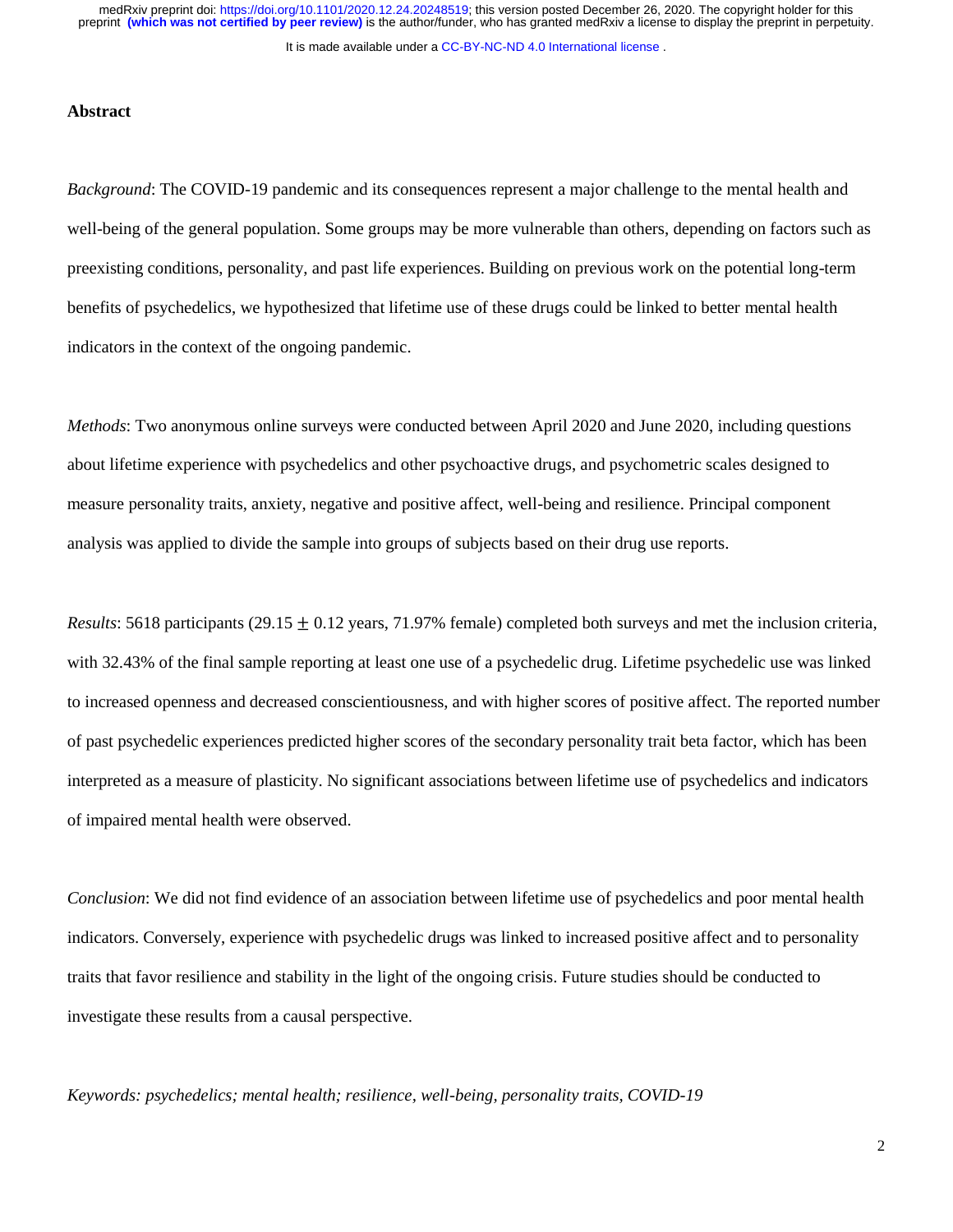#### It is made available under a [CC-BY-NC-ND 4.0 International license](http://creativecommons.org/licenses/by-nc-nd/4.0/) .

### **Abstract**

*Background*: The COVID-19 pandemic and its consequences represent a major challenge to the mental health and well-being of the general population. Some groups may be more vulnerable than others, depending on factors such as preexisting conditions, personality, and past life experiences. Building on previous work on the potential long-term benefits of psychedelics, we hypothesized that lifetime use of these drugs could be linked to better mental health indicators in the context of the ongoing pandemic.

*Methods*: Two anonymous online surveys were conducted between April 2020 and June 2020, including questions about lifetime experience with psychedelics and other psychoactive drugs, and psychometric scales designed to measure personality traits, anxiety, negative and positive affect, well-being and resilience. Principal component analysis was applied to divide the sample into groups of subjects based on their drug use reports.

*Results*: 5618 participants (29.15  $\pm$  0.12 years, 71.97% female) completed both surveys and met the inclusion criteria, with 32.43% of the final sample reporting at least one use of a psychedelic drug. Lifetime psychedelic use was linked to increased openness and decreased conscientiousness, and with higher scores of positive affect. The reported number of past psychedelic experiences predicted higher scores of the secondary personality trait beta factor, which has been interpreted as a measure of plasticity. No significant associations between lifetime use of psychedelics and indicators of impaired mental health were observed.

*Conclusion*: We did not find evidence of an association between lifetime use of psychedelics and poor mental health indicators. Conversely, experience with psychedelic drugs was linked to increased positive affect and to personality traits that favor resilience and stability in the light of the ongoing crisis. Future studies should be conducted to investigate these results from a causal perspective.

*Keywords: psychedelics; mental health; resilience, well-being, personality traits, COVID-19*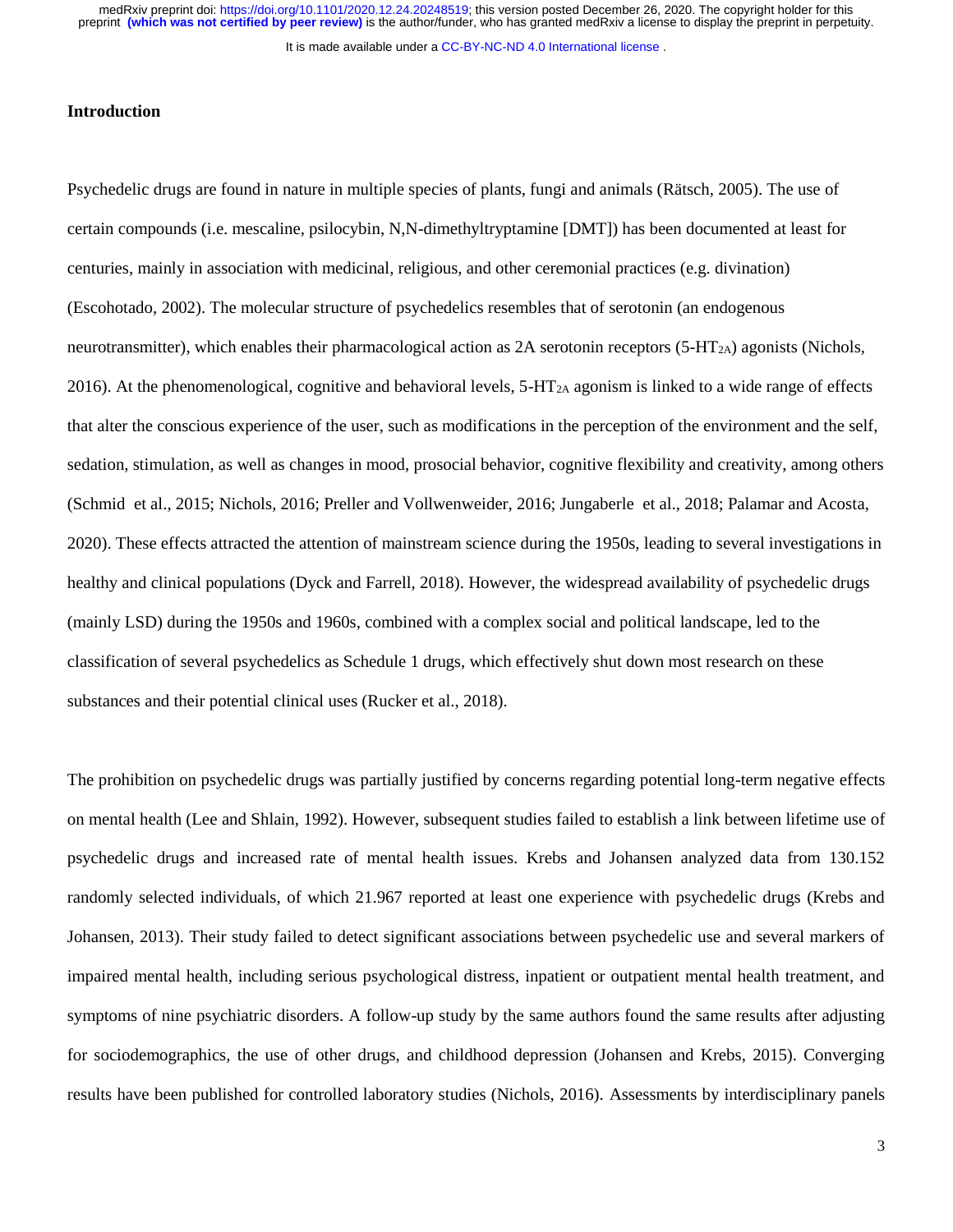It is made available under a CC-BY-NC-ND 4.0 International license.

## **Introduction**

Psychedelic drugs are found in nature in multiple species of plants, fungi and animals (Rätsch, 2005). The use of certain compounds (i.e. mescaline, psilocybin, N,N-dimethyltryptamine [DMT]) has been documented at least for centuries, mainly in association with medicinal, religious, and other ceremonial practices (e.g. divination) (Escohotado, 2002). The molecular structure of psychedelics resembles that of serotonin (an endogenous neurotransmitter), which enables their pharmacological action as  $2A$  serotonin receptors (5-HT<sub>2A</sub>) agonists (Nichols, 2016). At the phenomenological, cognitive and behavioral levels,  $5-\text{HT}_{2A}$  agonism is linked to a wide range of effects that alter the conscious experience of the user, such as modifications in the perception of the environment and the self, sedation, stimulation, as well as changes in mood, prosocial behavior, cognitive flexibility and creativity, among others (Schmid et al., 2015; Nichols, 2016; Preller and Vollwenweider, 2016; Jungaberle et al., 2018; Palamar and Acosta, 2020). These effects attracted the attention of mainstream science during the 1950s, leading to several investigations in healthy and clinical populations (Dyck and Farrell, 2018). However, the widespread availability of psychedelic drugs (mainly LSD) during the 1950s and 1960s, combined with a complex social and political landscape, led to the classification of several psychedelics as Schedule 1 drugs, which effectively shut down most research on these substances and their potential clinical uses (Rucker et al., 2018).

The prohibition on psychedelic drugs was partially justified by concerns regarding potential long-term negative effects on mental health (Lee and Shlain, 1992). However, subsequent studies failed to establish a link between lifetime use of psychedelic drugs and increased rate of mental health issues. Krebs and Johansen analyzed data from 130.152 randomly selected individuals, of which 21.967 reported at least one experience with psychedelic drugs (Krebs and Johansen, 2013). Their study failed to detect significant associations between psychedelic use and several markers of impaired mental health, including serious psychological distress, inpatient or outpatient mental health treatment, and symptoms of nine psychiatric disorders. A follow-up study by the same authors found the same results after adjusting for sociodemographics, the use of other drugs, and childhood depression (Johansen and Krebs, 2015). Converging results have been published for controlled laboratory studies (Nichols, 2016). Assessments by interdisciplinary panels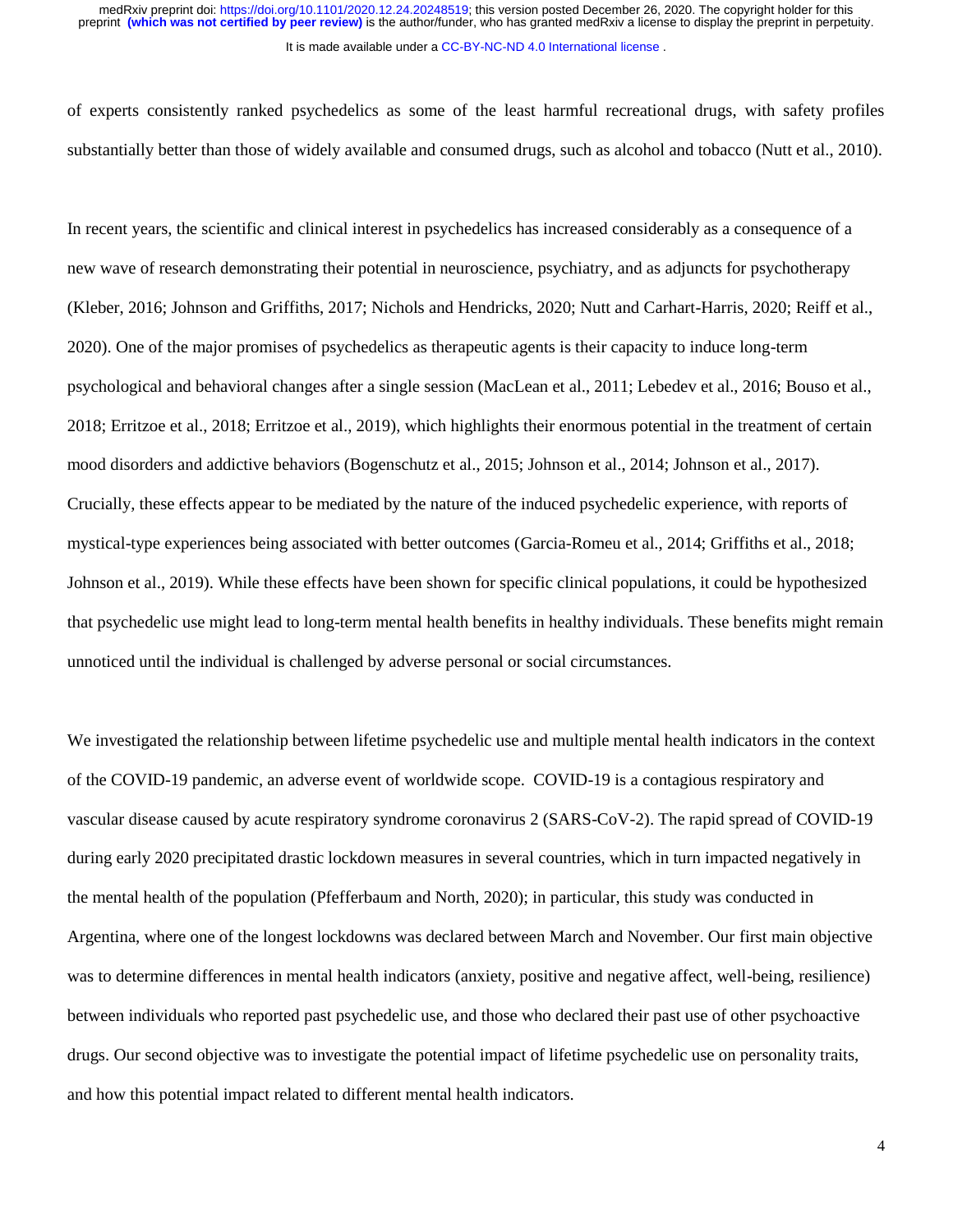of experts consistently ranked psychedelics as some of the least harmful recreational drugs, with safety profiles substantially better than those of widely available and consumed drugs, such as alcohol and tobacco (Nutt et al., 2010).

In recent years, the scientific and clinical interest in psychedelics has increased considerably as a consequence of a new wave of research demonstrating their potential in neuroscience, psychiatry, and as adjuncts for psychotherapy (Kleber, 2016; Johnson and Griffiths, 2017; Nichols and Hendricks, 2020; Nutt and Carhart-Harris, 2020; Reiff et al., 2020). One of the major promises of psychedelics as therapeutic agents is their capacity to induce long-term psychological and behavioral changes after a single session (MacLean et al., 2011; Lebedev et al., 2016; Bouso et al., 2018; Erritzoe et al., 2018; Erritzoe et al., 2019), which highlights their enormous potential in the treatment of certain mood disorders and addictive behaviors (Bogenschutz et al., 2015; Johnson et al., 2014; Johnson et al., 2017). Crucially, these effects appear to be mediated by the nature of the induced psychedelic experience, with reports of mystical-type experiences being associated with better outcomes (Garcia-Romeu et al., 2014; Griffiths et al., 2018; Johnson et al., 2019). While these effects have been shown for specific clinical populations, it could be hypothesized that psychedelic use might lead to long-term mental health benefits in healthy individuals. These benefits might remain unnoticed until the individual is challenged by adverse personal or social circumstances.

We investigated the relationship between lifetime psychedelic use and multiple mental health indicators in the context of the COVID-19 pandemic, an adverse event of worldwide scope. COVID-19 is a contagious respiratory and vascular disease caused by acute respiratory syndrome coronavirus 2 (SARS-CoV-2). The rapid spread of COVID-19 during early 2020 precipitated drastic lockdown measures in several countries, which in turn impacted negatively in the mental health of the population (Pfefferbaum and North, 2020); in particular, this study was conducted in Argentina, where one of the longest lockdowns was declared between March and November. Our first main objective was to determine differences in mental health indicators (anxiety, positive and negative affect, well-being, resilience) between individuals who reported past psychedelic use, and those who declared their past use of other psychoactive drugs. Our second objective was to investigate the potential impact of lifetime psychedelic use on personality traits, and how this potential impact related to different mental health indicators.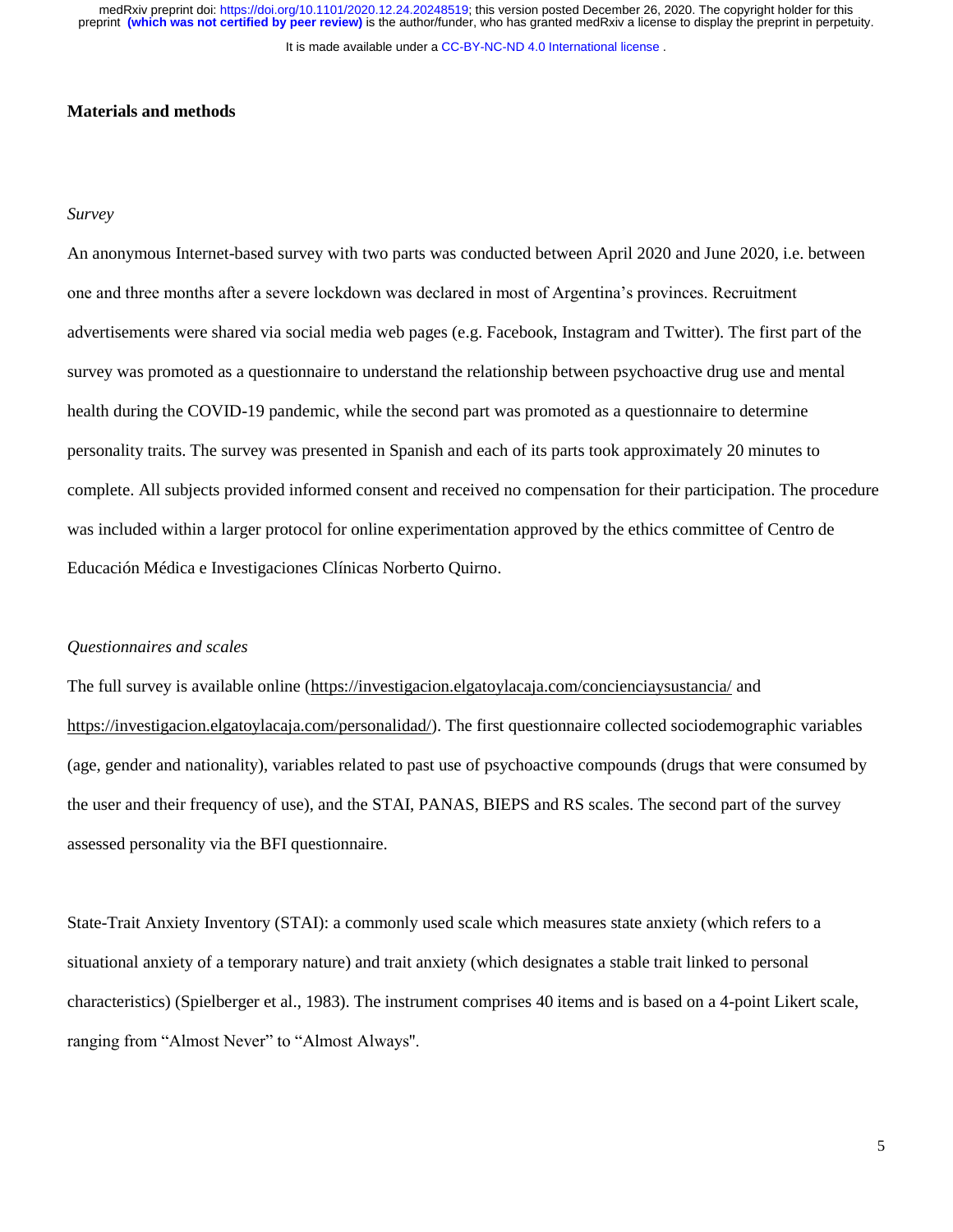It is made available under a [CC-BY-NC-ND 4.0 International license](http://creativecommons.org/licenses/by-nc-nd/4.0/) .

## **Materials and methods**

## *Survey*

An anonymous Internet-based survey with two parts was conducted between April 2020 and June 2020, i.e. between one and three months after a severe lockdown was declared in most of Argentina's provinces. Recruitment advertisements were shared via social media web pages (e.g. Facebook, Instagram and Twitter). The first part of the survey was promoted as a questionnaire to understand the relationship between psychoactive drug use and mental health during the COVID-19 pandemic, while the second part was promoted as a questionnaire to determine personality traits. The survey was presented in Spanish and each of its parts took approximately 20 minutes to complete. All subjects provided informed consent and received no compensation for their participation. The procedure was included within a larger protocol for online experimentation approved by the ethics committee of Centro de Educación Médica e Investigaciones Clínicas Norberto Quirno.

#### *Questionnaires and scales*

The full survey is available online [\(https://investigacion.elgatoylacaja.com/concienciaysustancia/](https://investigacion.elgatoylacaja.com/concienciaysustancia/) and [https://investigacion.elgatoylacaja.com/personalidad/\)](https://investigacion.elgatoylacaja.com/personalidad/). The first questionnaire collected sociodemographic variables (age, gender and nationality), variables related to past use of psychoactive compounds (drugs that were consumed by the user and their frequency of use), and the STAI, PANAS, BIEPS and RS scales. The second part of the survey assessed personality via the BFI questionnaire.

State-Trait Anxiety Inventory (STAI): a commonly used scale which measures state anxiety (which refers to a situational anxiety of a temporary nature) and trait anxiety (which designates a stable trait linked to personal characteristics) (Spielberger et al., 1983). The instrument comprises 40 items and is based on a 4-point Likert scale, ranging from "Almost Never" to "Almost Always''.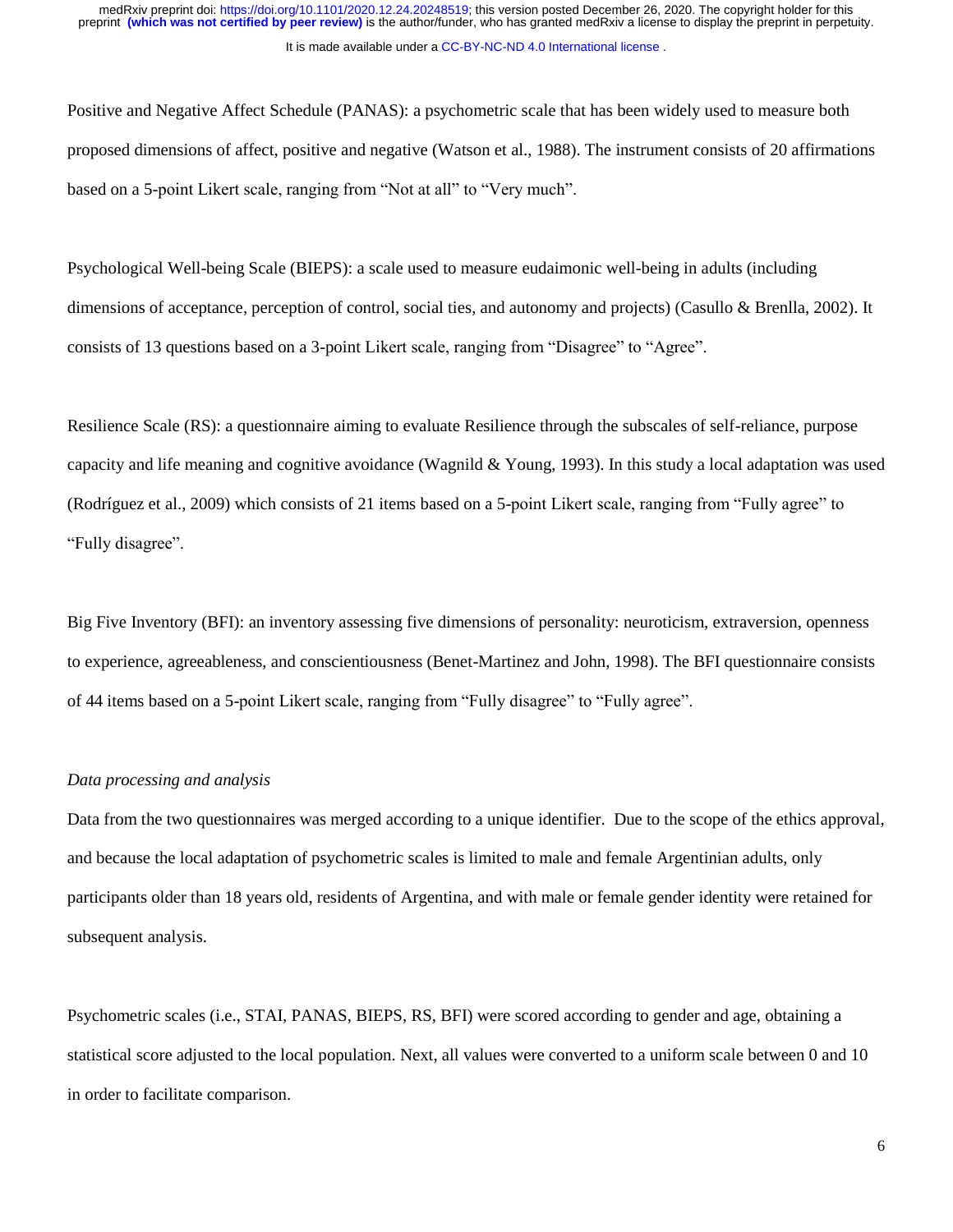Positive and Negative Affect Schedule (PANAS): a psychometric scale that has been widely used to measure both proposed dimensions of affect, positive and negative (Watson et al., 1988). The instrument consists of 20 affirmations based on a 5-point Likert scale, ranging from "Not at all" to "Very much".

Psychological Well-being Scale (BIEPS): a scale used to measure eudaimonic well-being in adults (including dimensions of acceptance, perception of control, social ties, and autonomy and projects) (Casullo & Brenlla, 2002). It consists of 13 questions based on a 3-point Likert scale, ranging from "Disagree" to "Agree".

Resilience Scale (RS): a questionnaire aiming to evaluate Resilience through the subscales of self-reliance, purpose capacity and life meaning and cognitive avoidance (Wagnild & Young, 1993). In this study a local adaptation was used (Rodríguez et al., 2009) which consists of 21 items based on a 5-point Likert scale, ranging from "Fully agree" to "Fully disagree".

Big Five Inventory (BFI): an inventory assessing five dimensions of personality: neuroticism, extraversion, openness to experience, agreeableness, and conscientiousness (Benet-Martinez and John, 1998). The BFI questionnaire consists of 44 items based on a 5-point Likert scale, ranging from "Fully disagree" to "Fully agree".

## *Data processing and analysis*

Data from the two questionnaires was merged according to a unique identifier. Due to the scope of the ethics approval, and because the local adaptation of psychometric scales is limited to male and female Argentinian adults, only participants older than 18 years old, residents of Argentina, and with male or female gender identity were retained for subsequent analysis.

Psychometric scales (i.e., STAI, PANAS, BIEPS, RS, BFI) were scored according to gender and age, obtaining a statistical score adjusted to the local population. Next, all values were converted to a uniform scale between 0 and 10 in order to facilitate comparison.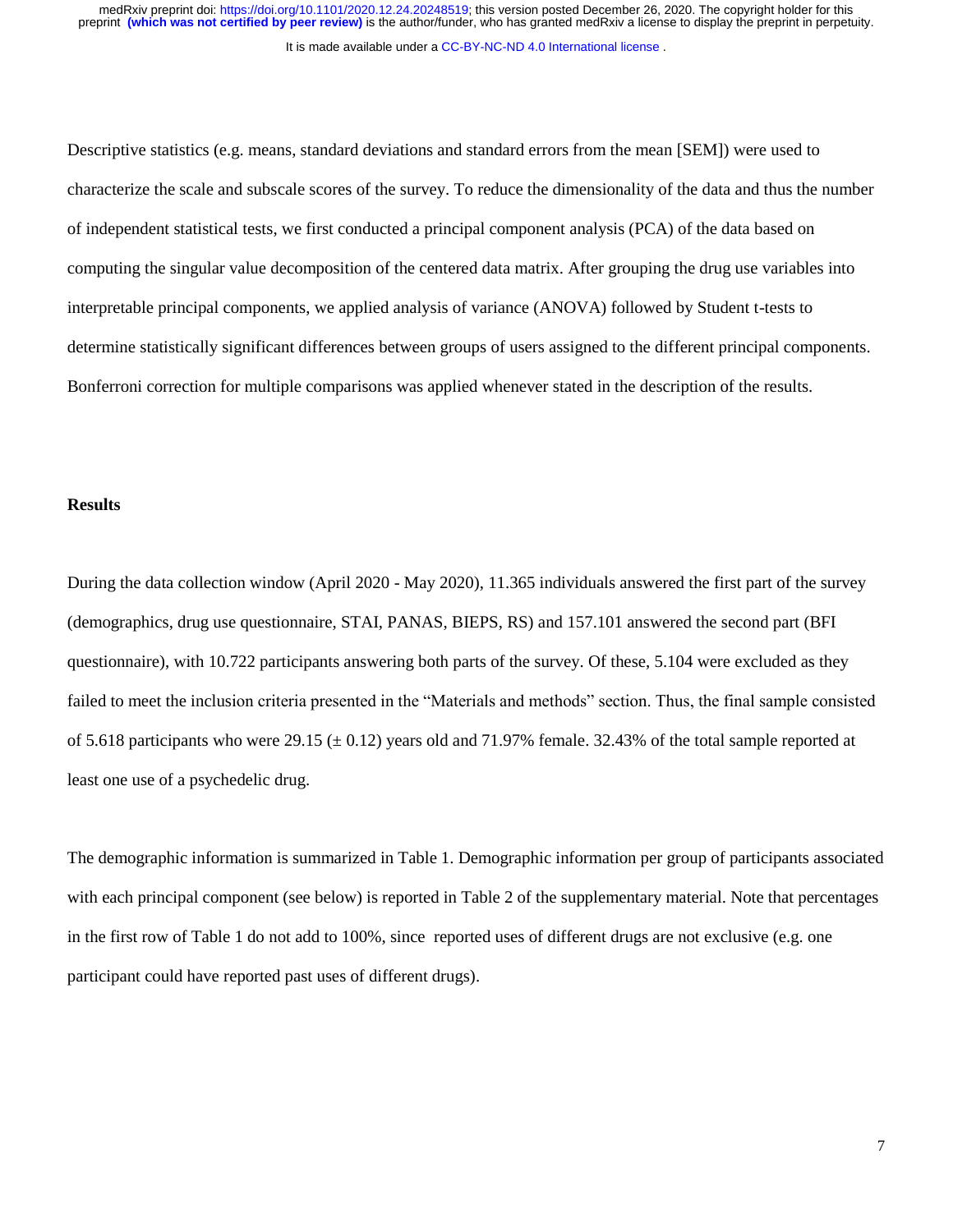It is made available under a [CC-BY-NC-ND 4.0 International license](http://creativecommons.org/licenses/by-nc-nd/4.0/) .

Descriptive statistics (e.g. means, standard deviations and standard errors from the mean [SEM]) were used to characterize the scale and subscale scores of the survey. To reduce the dimensionality of the data and thus the number of independent statistical tests, we first conducted a principal component analysis (PCA) of the data based on computing the singular value decomposition of the centered data matrix. After grouping the drug use variables into interpretable principal components, we applied analysis of variance (ANOVA) followed by Student t-tests to determine statistically significant differences between groups of users assigned to the different principal components. Bonferroni correction for multiple comparisons was applied whenever stated in the description of the results.

## **Results**

During the data collection window (April 2020 - May 2020), 11.365 individuals answered the first part of the survey (demographics, drug use questionnaire, STAI, PANAS, BIEPS, RS) and 157.101 answered the second part (BFI questionnaire), with 10.722 participants answering both parts of the survey. Of these, 5.104 were excluded as they failed to meet the inclusion criteria presented in the "Materials and methods" section. Thus, the final sample consisted of 5.618 participants who were 29.15 ( $\pm$  0.12) years old and 71.97% female. 32.43% of the total sample reported at least one use of a psychedelic drug.

The demographic information is summarized in Table 1. Demographic information per group of participants associated with each principal component (see below) is reported in Table 2 of the supplementary material. Note that percentages in the first row of Table 1 do not add to 100%, since reported uses of different drugs are not exclusive (e.g. one participant could have reported past uses of different drugs).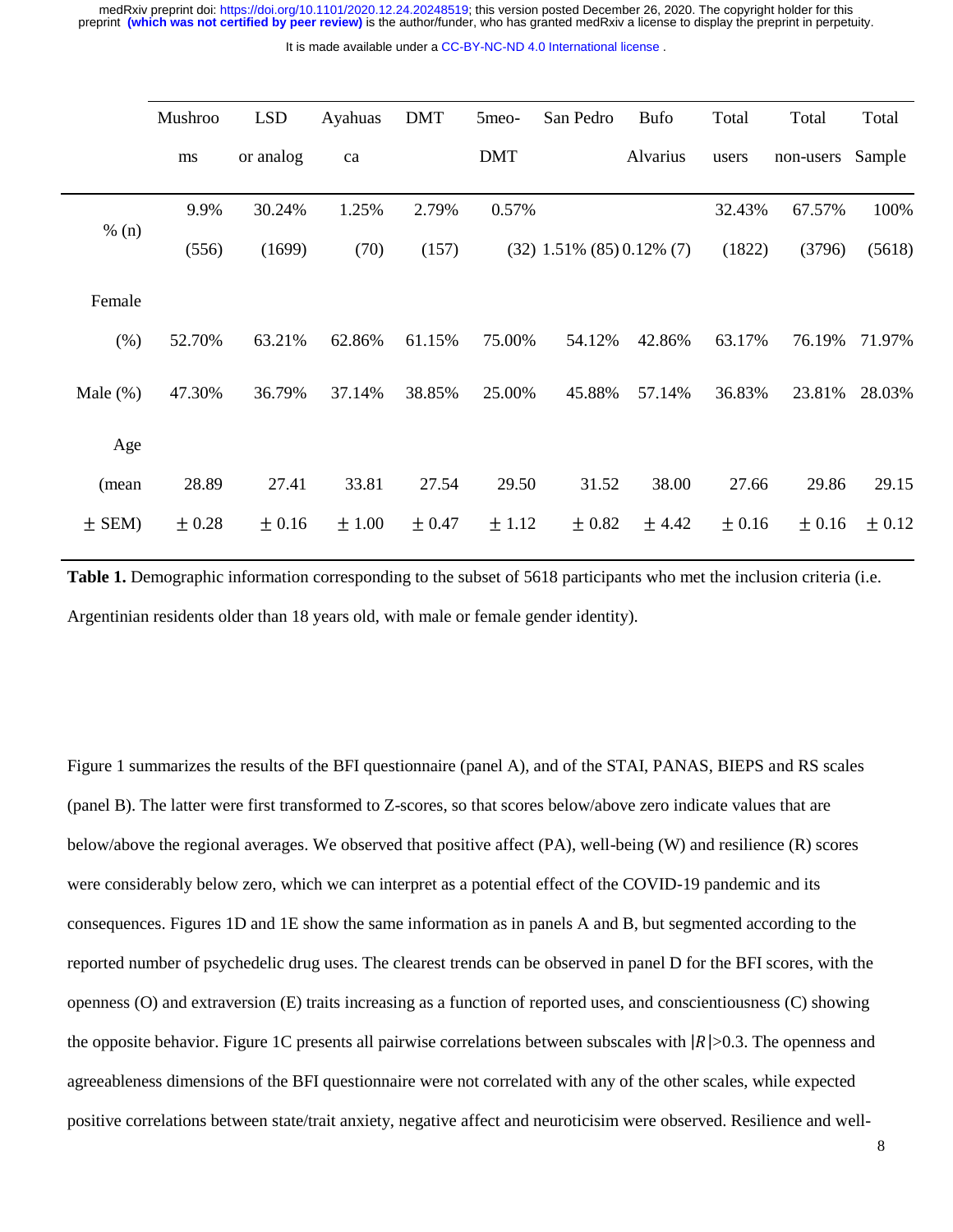It is made available under a [CC-BY-NC-ND 4.0 International license](http://creativecommons.org/licenses/by-nc-nd/4.0/) .

|             | Mushroo    | <b>LSD</b> | Ayahuas | <b>DMT</b> | 5meo-      | San Pedro                       | <b>Bufo</b> | Total      | Total      | Total      |
|-------------|------------|------------|---------|------------|------------|---------------------------------|-------------|------------|------------|------------|
|             | ms         | or analog  | ca      |            | <b>DMT</b> |                                 | Alvarius    | users      | non-users  | Sample     |
| % (n)       | 9.9%       | 30.24%     | 1.25%   | 2.79%      | 0.57%      |                                 |             | 32.43%     | 67.57%     | 100%       |
|             | (556)      | (1699)     | (70)    | (157)      |            | $(32)$ 1.51% $(85)$ 0.12% $(7)$ |             | (1822)     | (3796)     | (5618)     |
| Female      |            |            |         |            |            |                                 |             |            |            |            |
| (% )        | 52.70%     | 63.21%     | 62.86%  | 61.15%     | 75.00%     | 54.12%                          | 42.86%      | 63.17%     | 76.19%     | 71.97%     |
| Male $(\%)$ | 47.30%     | 36.79%     | 37.14%  | 38.85%     | 25.00%     | 45.88%                          | 57.14%      | 36.83%     | 23.81%     | 28.03%     |
| Age         |            |            |         |            |            |                                 |             |            |            |            |
| (mean       | 28.89      | 27.41      | 33.81   | 27.54      | 29.50      | 31.52                           | 38.00       | 27.66      | 29.86      | 29.15      |
| $±$ SEM)    | $\pm 0.28$ | $\pm 0.16$ | ±1.00   | $\pm 0.47$ | ± 1.12     | $\pm 0.82$                      | ± 4.42      | $\pm 0.16$ | $\pm 0.16$ | $\pm 0.12$ |

**Table 1.** Demographic information corresponding to the subset of 5618 participants who met the inclusion criteria (i.e. Argentinian residents older than 18 years old, with male or female gender identity).

Figure 1 summarizes the results of the BFI questionnaire (panel A), and of the STAI, PANAS, BIEPS and RS scales (panel B). The latter were first transformed to Z-scores, so that scores below/above zero indicate values that are below/above the regional averages. We observed that positive affect (PA), well-being (W) and resilience (R) scores were considerably below zero, which we can interpret as a potential effect of the COVID-19 pandemic and its consequences. Figures 1D and 1E show the same information as in panels A and B, but segmented according to the reported number of psychedelic drug uses. The clearest trends can be observed in panel D for the BFI scores, with the openness (O) and extraversion (E) traits increasing as a function of reported uses, and conscientiousness (C) showing the opposite behavior. Figure 1C presents all pairwise correlations between subscales with  $|R|>0.3$ . The openness and agreeableness dimensions of the BFI questionnaire were not correlated with any of the other scales, while expected positive correlations between state/trait anxiety, negative affect and neuroticisim were observed. Resilience and well-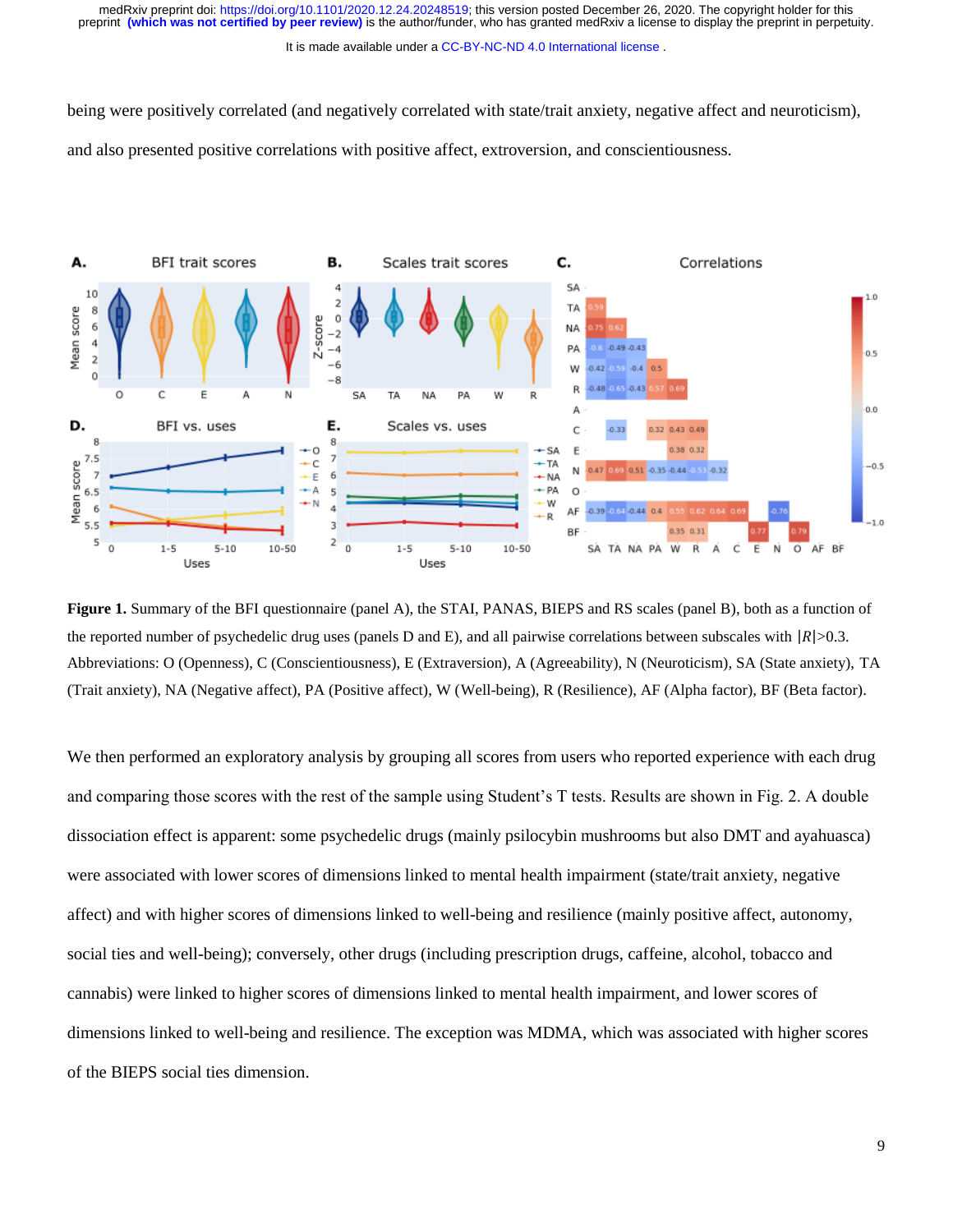It is made available under a CC-BY-NC-ND 4.0 International license.

being were positively correlated (and negatively correlated with state/trait anxiety, negative affect and neuroticism), and also presented positive correlations with positive affect, extroversion, and conscientiousness.



**Figure 1.** Summary of the BFI questionnaire (panel A), the STAI, PANAS, BIEPS and RS scales (panel B), both as a function of the reported number of psychedelic drug uses (panels D and E), and all pairwise correlations between subscales with  $|R| > 0.3$ . Abbreviations: O (Openness), C (Conscientiousness), E (Extraversion), A (Agreeability), N (Neuroticism), SA (State anxiety), TA (Trait anxiety), NA (Negative affect), PA (Positive affect), W (Well-being), R (Resilience), AF (Alpha factor), BF (Beta factor).

We then performed an exploratory analysis by grouping all scores from users who reported experience with each drug and comparing those scores with the rest of the sample using Student's T tests. Results are shown in Fig. 2. A double dissociation effect is apparent: some psychedelic drugs (mainly psilocybin mushrooms but also DMT and ayahuasca) were associated with lower scores of dimensions linked to mental health impairment (state/trait anxiety, negative affect) and with higher scores of dimensions linked to well-being and resilience (mainly positive affect, autonomy, social ties and well-being); conversely, other drugs (including prescription drugs, caffeine, alcohol, tobacco and cannabis) were linked to higher scores of dimensions linked to mental health impairment, and lower scores of dimensions linked to well-being and resilience. The exception was MDMA, which was associated with higher scores of the BIEPS social ties dimension.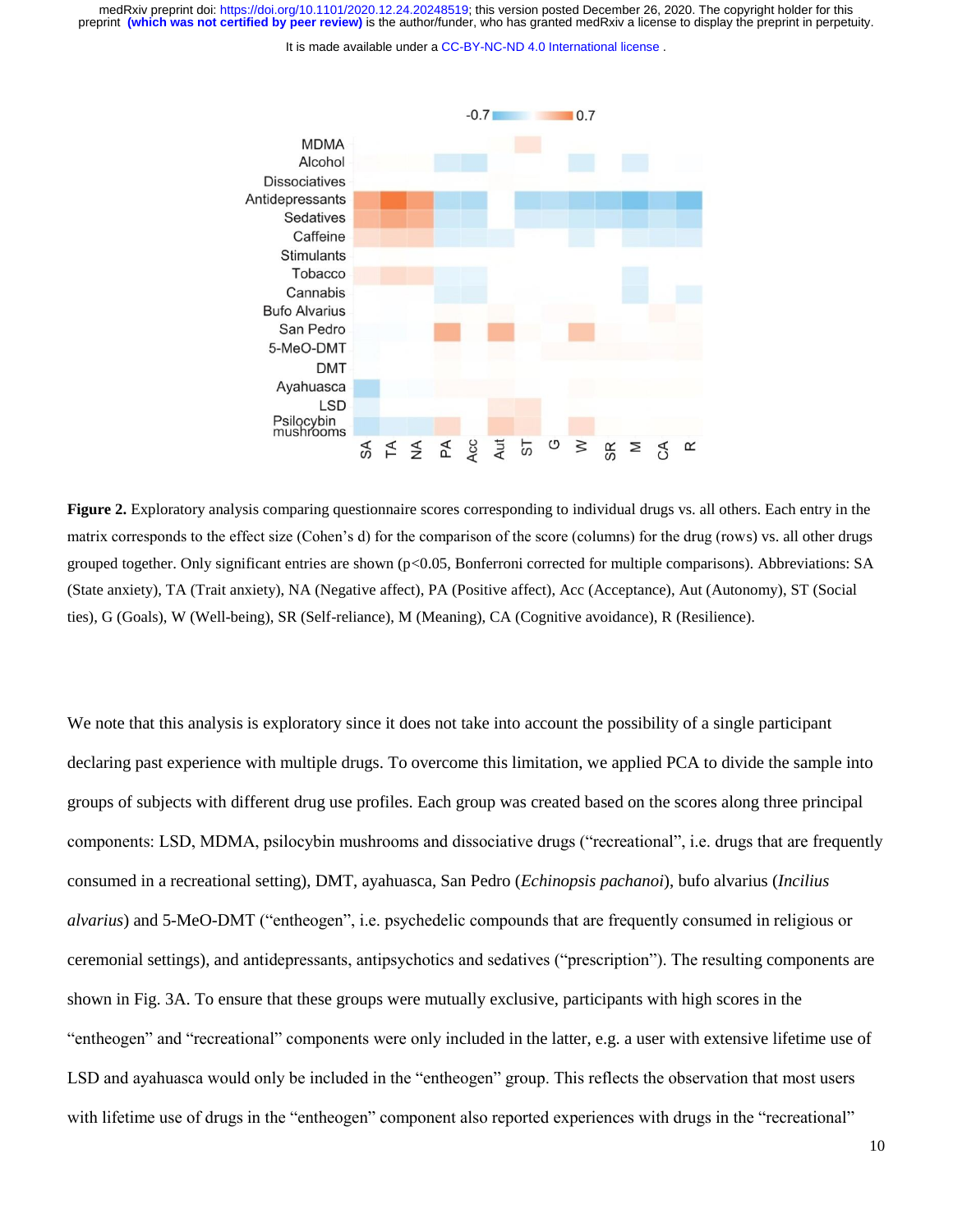It is made available under a CC-BY-NC-ND 4.0 International license.



**Figure 2.** Exploratory analysis comparing questionnaire scores corresponding to individual drugs vs. all others. Each entry in the matrix corresponds to the effect size (Cohen's d) for the comparison of the score (columns) for the drug (rows) vs. all other drugs grouped together. Only significant entries are shown (p<0.05, Bonferroni corrected for multiple comparisons). Abbreviations: SA (State anxiety), TA (Trait anxiety), NA (Negative affect), PA (Positive affect), Acc (Acceptance), Aut (Autonomy), ST (Social ties), G (Goals), W (Well-being), SR (Self-reliance), M (Meaning), CA (Cognitive avoidance), R (Resilience).

We note that this analysis is exploratory since it does not take into account the possibility of a single participant declaring past experience with multiple drugs. To overcome this limitation, we applied PCA to divide the sample into groups of subjects with different drug use profiles. Each group was created based on the scores along three principal components: LSD, MDMA, psilocybin mushrooms and dissociative drugs ("recreational", i.e. drugs that are frequently consumed in a recreational setting), DMT, ayahuasca, San Pedro (*Echinopsis pachanoi*), bufo alvarius (*Incilius alvarius*) and 5-MeO-DMT ("entheogen", i.e. psychedelic compounds that are frequently consumed in religious or ceremonial settings), and antidepressants, antipsychotics and sedatives ("prescription"). The resulting components are shown in Fig. 3A. To ensure that these groups were mutually exclusive, participants with high scores in the "entheogen" and "recreational" components were only included in the latter, e.g. a user with extensive lifetime use of LSD and ayahuasca would only be included in the "entheogen" group. This reflects the observation that most users with lifetime use of drugs in the "entheogen" component also reported experiences with drugs in the "recreational"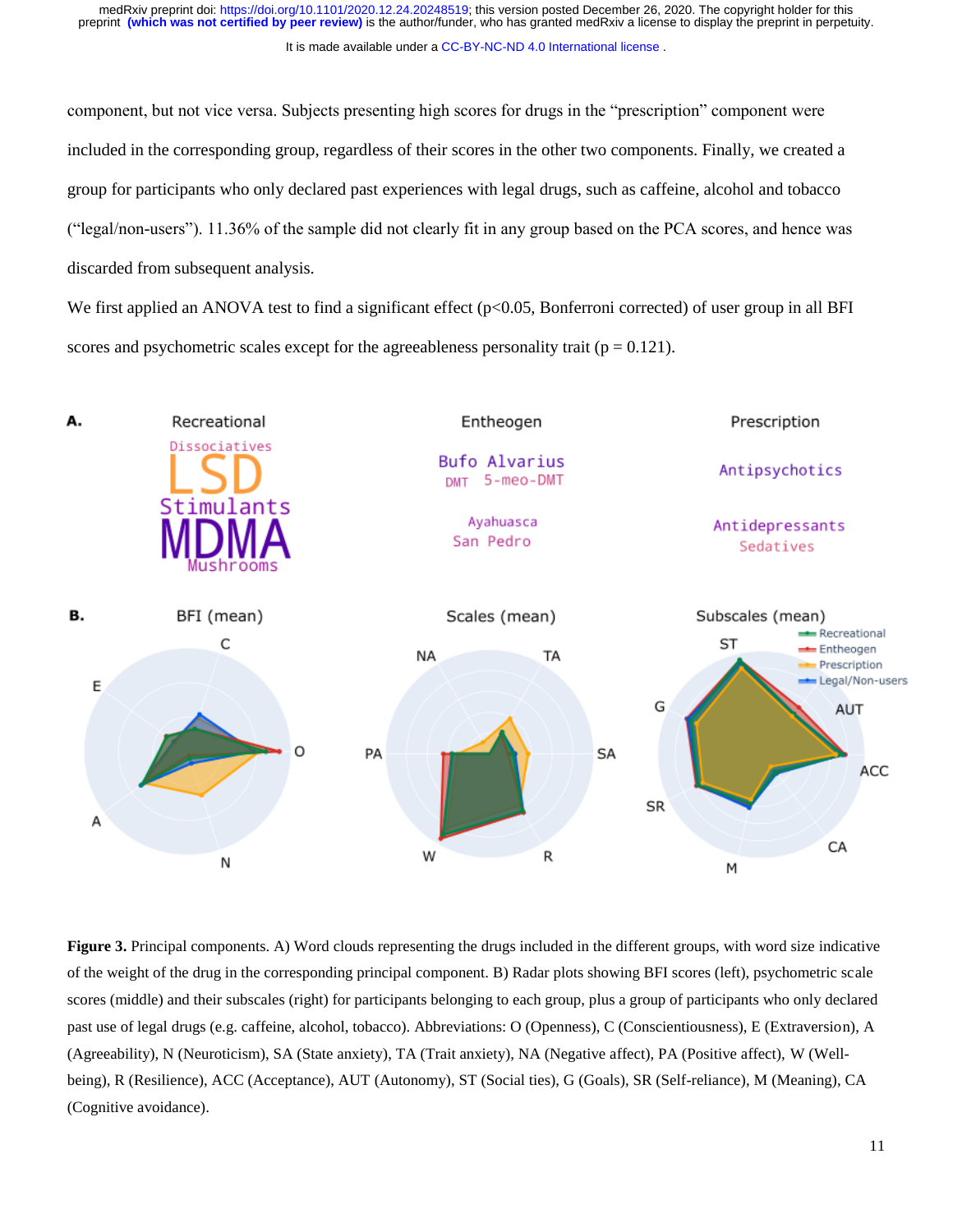component, but not vice versa. Subjects presenting high scores for drugs in the "prescription" component were included in the corresponding group, regardless of their scores in the other two components. Finally, we created a group for participants who only declared past experiences with legal drugs, such as caffeine, alcohol and tobacco ("legal/non-users"). 11.36% of the sample did not clearly fit in any group based on the PCA scores, and hence was discarded from subsequent analysis.

We first applied an ANOVA test to find a significant effect (p<0.05, Bonferroni corrected) of user group in all BFI scores and psychometric scales except for the agreeableness personality trait ( $p = 0.121$ ).



**Figure 3.** Principal components. A) Word clouds representing the drugs included in the different groups, with word size indicative of the weight of the drug in the corresponding principal component. B) Radar plots showing BFI scores (left), psychometric scale scores (middle) and their subscales (right) for participants belonging to each group, plus a group of participants who only declared past use of legal drugs (e.g. caffeine, alcohol, tobacco). Abbreviations: O (Openness), C (Conscientiousness), E (Extraversion), A (Agreeability), N (Neuroticism), SA (State anxiety), TA (Trait anxiety), NA (Negative affect), PA (Positive affect), W (Wellbeing), R (Resilience), ACC (Acceptance), AUT (Autonomy), ST (Social ties), G (Goals), SR (Self-reliance), M (Meaning), CA (Cognitive avoidance).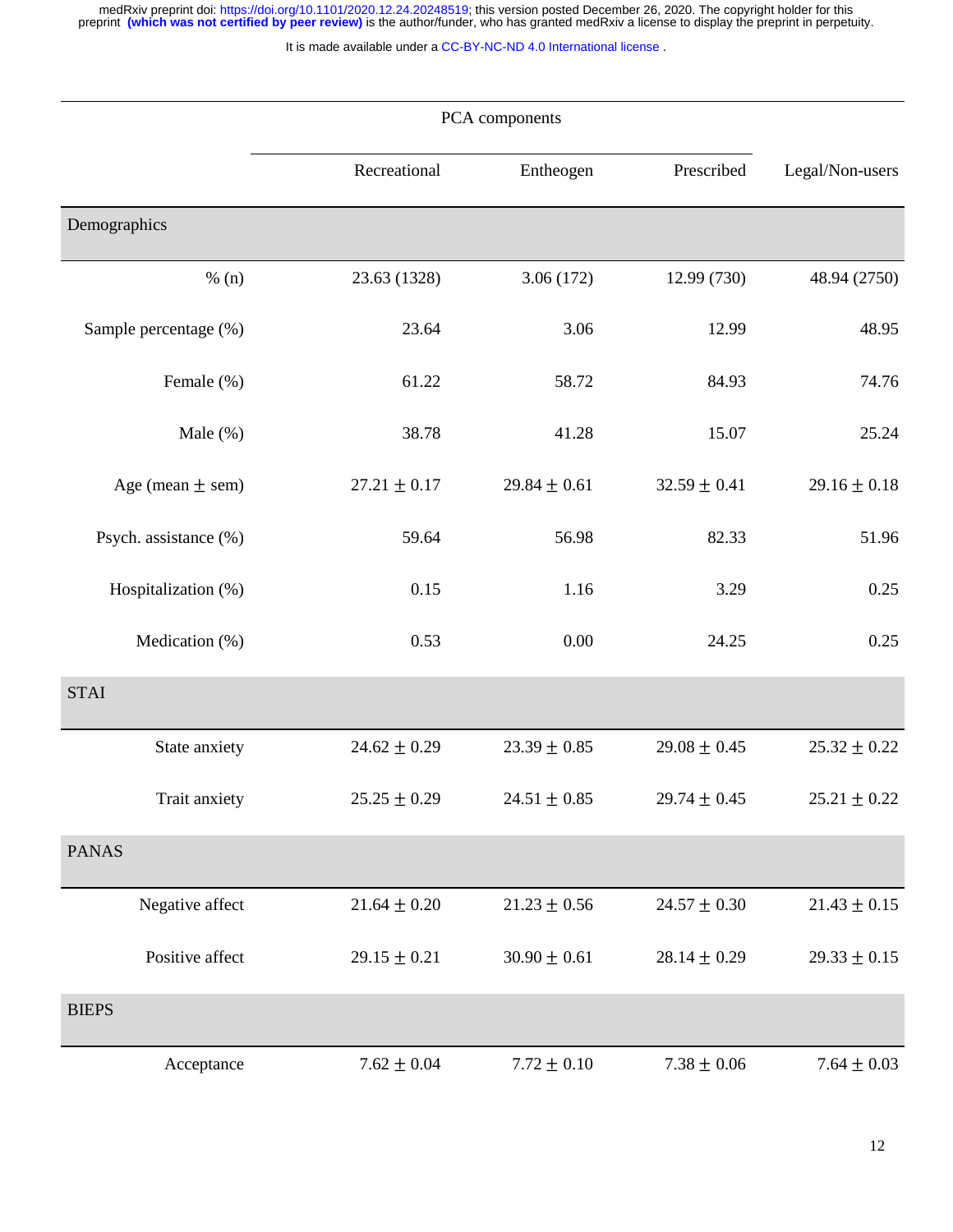medRxiv preprint doi: [https://doi.org/10.1101/2020.12.24.20248519;](https://doi.org/10.1101/2020.12.24.20248519) this version posted December 26, 2020. The copyright holder for this<br>preprint (which was not certified by peer review) is the author/funder, who has grante

It is made available under a [CC-BY-NC-ND 4.0 International license](http://creativecommons.org/licenses/by-nc-nd/4.0/) .

|                       | PCA components   |                  |                  |                  |
|-----------------------|------------------|------------------|------------------|------------------|
|                       | Recreational     | Entheogen        | Prescribed       | Legal/Non-users  |
| Demographics          |                  |                  |                  |                  |
| % (n)                 | 23.63 (1328)     | 3.06(172)        | 12.99 (730)      | 48.94 (2750)     |
| Sample percentage (%) | 23.64            | 3.06             | 12.99            | 48.95            |
| Female (%)            | 61.22            | 58.72            | 84.93            | 74.76            |
| Male (%)              | 38.78            | 41.28            | 15.07            | 25.24            |
| Age (mean $\pm$ sem)  | $27.21 \pm 0.17$ | $29.84 \pm 0.61$ | $32.59 \pm 0.41$ | $29.16 \pm 0.18$ |
| Psych. assistance (%) | 59.64            | 56.98            | 82.33            | 51.96            |
| Hospitalization (%)   | 0.15             | 1.16             | 3.29             | 0.25             |
| Medication (%)        | 0.53             | 0.00             | 24.25            | 0.25             |
| <b>STAI</b>           |                  |                  |                  |                  |
| State anxiety         | $24.62 \pm 0.29$ | $23.39 \pm 0.85$ | $29.08 \pm 0.45$ | $25.32 \pm 0.22$ |
| Trait anxiety         | $25.25 \pm 0.29$ | $24.51 \pm 0.85$ | $29.74 \pm 0.45$ | $25.21 \pm 0.22$ |
| <b>PANAS</b>          |                  |                  |                  |                  |
| Negative affect       | $21.64 \pm 0.20$ | $21.23 \pm 0.56$ | $24.57 \pm 0.30$ | $21.43 \pm 0.15$ |
| Positive affect       | $29.15 \pm 0.21$ | $30.90 \pm 0.61$ | $28.14 \pm 0.29$ | $29.33 \pm 0.15$ |
| <b>BIEPS</b>          |                  |                  |                  |                  |
| Acceptance            | $7.62\pm0.04$    | $7.72 \pm 0.10$  | $7.38\pm0.06$    | $7.64 \pm 0.03$  |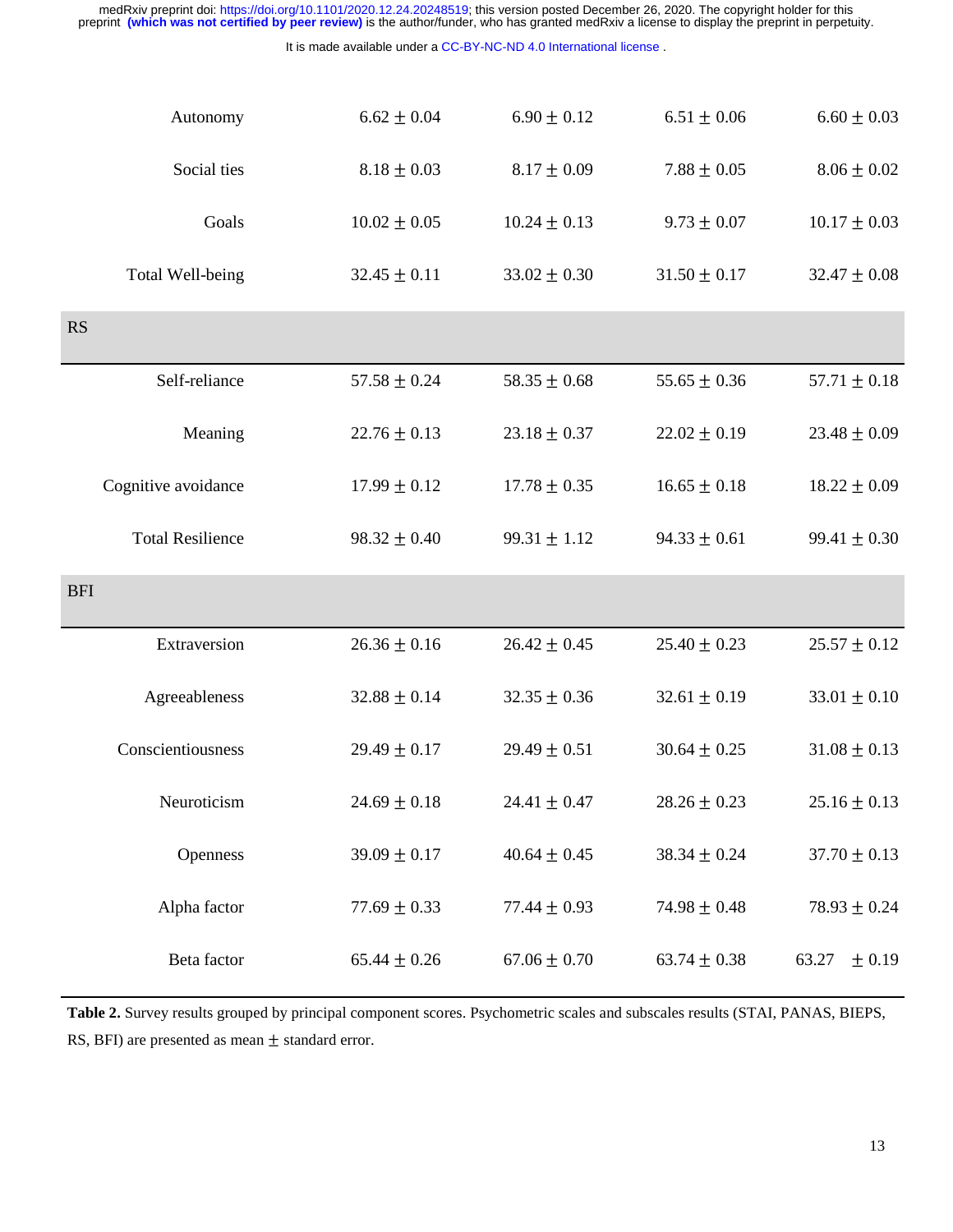|                                                                     | medRxiv preprint doi: https://doi.org/10.1101/2020.12.24.20248519; this version posted December 26, 2020. The copyright holder for this<br>preprint (which was not certified by peer review) is the author/funder, who has granted medRxiv a license to display the preprint in perpetuity. |                  |                  |                  |  |  |  |
|---------------------------------------------------------------------|---------------------------------------------------------------------------------------------------------------------------------------------------------------------------------------------------------------------------------------------------------------------------------------------|------------------|------------------|------------------|--|--|--|
| It is made available under a CC-BY-NC-ND 4.0 International license. |                                                                                                                                                                                                                                                                                             |                  |                  |                  |  |  |  |
| Autonomy                                                            | $6.62 \pm 0.04$                                                                                                                                                                                                                                                                             | $6.90 \pm 0.12$  | $6.51 \pm 0.06$  | $6.60 \pm 0.03$  |  |  |  |
| Social ties                                                         | $8.18 \pm 0.03$                                                                                                                                                                                                                                                                             | $8.17 \pm 0.09$  | $7.88 \pm 0.05$  | $8.06 \pm 0.02$  |  |  |  |
| Goals                                                               | $10.02 \pm 0.05$                                                                                                                                                                                                                                                                            | $10.24 \pm 0.13$ | $9.73 \pm 0.07$  | $10.17 \pm 0.03$ |  |  |  |
| Total Well-being                                                    | $32.45 \pm 0.11$                                                                                                                                                                                                                                                                            | $33.02 \pm 0.30$ | $31.50 \pm 0.17$ | $32.47 \pm 0.08$ |  |  |  |
| <b>RS</b>                                                           |                                                                                                                                                                                                                                                                                             |                  |                  |                  |  |  |  |
| Self-reliance                                                       | $57.58 \pm 0.24$                                                                                                                                                                                                                                                                            | $58.35 \pm 0.68$ | $55.65 \pm 0.36$ | $57.71 \pm 0.18$ |  |  |  |
| Meaning                                                             | $22.76 \pm 0.13$                                                                                                                                                                                                                                                                            | $23.18 \pm 0.37$ | $22.02 \pm 0.19$ | $23.48 \pm 0.09$ |  |  |  |
| Cognitive avoidance                                                 | $17.99 \pm 0.12$                                                                                                                                                                                                                                                                            | $17.78 \pm 0.35$ | $16.65 \pm 0.18$ | $18.22 \pm 0.09$ |  |  |  |
| <b>Total Resilience</b>                                             | $98.32 \pm 0.40$                                                                                                                                                                                                                                                                            | $99.31 \pm 1.12$ | $94.33 \pm 0.61$ | $99.41 \pm 0.30$ |  |  |  |
| <b>BFI</b>                                                          |                                                                                                                                                                                                                                                                                             |                  |                  |                  |  |  |  |
| Extraversion                                                        | $26.36 \pm 0.16$                                                                                                                                                                                                                                                                            | $26.42 \pm 0.45$ | $25.40 \pm 0.23$ | $25.57 \pm 0.12$ |  |  |  |
| Agreeableness                                                       | $32.88 \pm 0.14$                                                                                                                                                                                                                                                                            | $32.35 \pm 0.36$ | $32.61 \pm 0.19$ | $33.01 \pm 0.10$ |  |  |  |
| Conscientiousness                                                   | $29.49 \pm 0.17$                                                                                                                                                                                                                                                                            | $29.49 \pm 0.51$ | $30.64 \pm 0.25$ | $31.08 \pm 0.13$ |  |  |  |
| Neuroticism                                                         | $24.69 \pm 0.18$                                                                                                                                                                                                                                                                            | $24.41 \pm 0.47$ | $28.26 \pm 0.23$ | $25.16 \pm 0.13$ |  |  |  |
| Openness                                                            | $39.09 \pm 0.17$                                                                                                                                                                                                                                                                            | $40.64 \pm 0.45$ | $38.34 \pm 0.24$ | $37.70 \pm 0.13$ |  |  |  |
| Alpha factor                                                        | $77.69 \pm 0.33$                                                                                                                                                                                                                                                                            | 77.44 $\pm$ 0.93 | $74.98 \pm 0.48$ | $78.93 \pm 0.24$ |  |  |  |
| Beta factor                                                         | $65.44 \pm 0.26$                                                                                                                                                                                                                                                                            | $67.06 \pm 0.70$ | $63.74 \pm 0.38$ | 63.27<br>± 0.19  |  |  |  |

**Table 2.** Survey results grouped by principal component scores. Psychometric scales and subscales results (STAI, PANAS, BIEPS, RS, BFI) are presented as mean  $\pm$  standard error.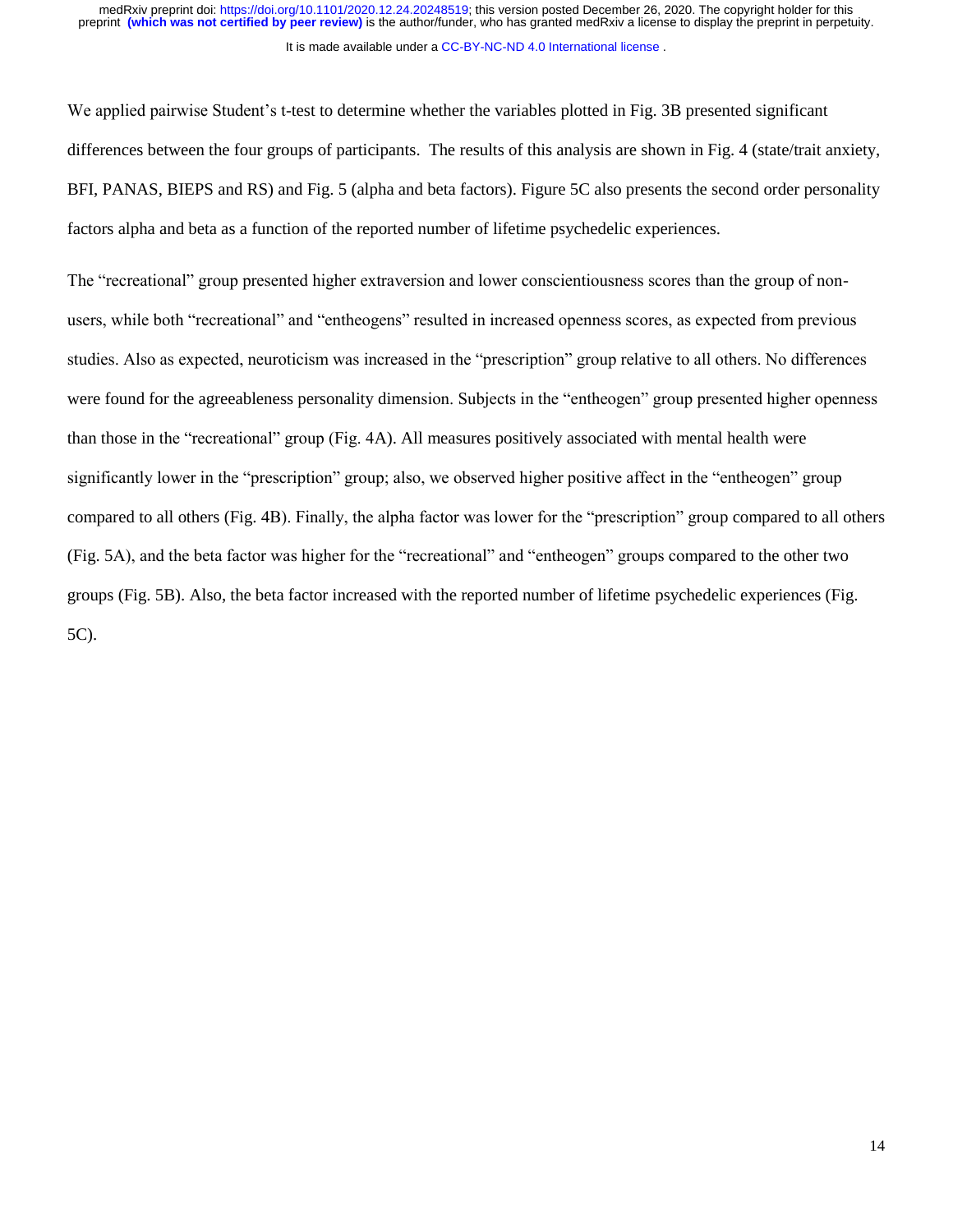We applied pairwise Student's t-test to determine whether the variables plotted in Fig. 3B presented significant differences between the four groups of participants. The results of this analysis are shown in Fig. 4 (state/trait anxiety, BFI, PANAS, BIEPS and RS) and Fig. 5 (alpha and beta factors). Figure 5C also presents the second order personality factors alpha and beta as a function of the reported number of lifetime psychedelic experiences.

The "recreational" group presented higher extraversion and lower conscientiousness scores than the group of nonusers, while both "recreational" and "entheogens" resulted in increased openness scores, as expected from previous studies. Also as expected, neuroticism was increased in the "prescription" group relative to all others. No differences were found for the agreeableness personality dimension. Subjects in the "entheogen" group presented higher openness than those in the "recreational" group (Fig. 4A). All measures positively associated with mental health were significantly lower in the "prescription" group; also, we observed higher positive affect in the "entheogen" group compared to all others (Fig. 4B). Finally, the alpha factor was lower for the "prescription" group compared to all others (Fig. 5A), and the beta factor was higher for the "recreational" and "entheogen" groups compared to the other two groups (Fig. 5B). Also, the beta factor increased with the reported number of lifetime psychedelic experiences (Fig. 5C).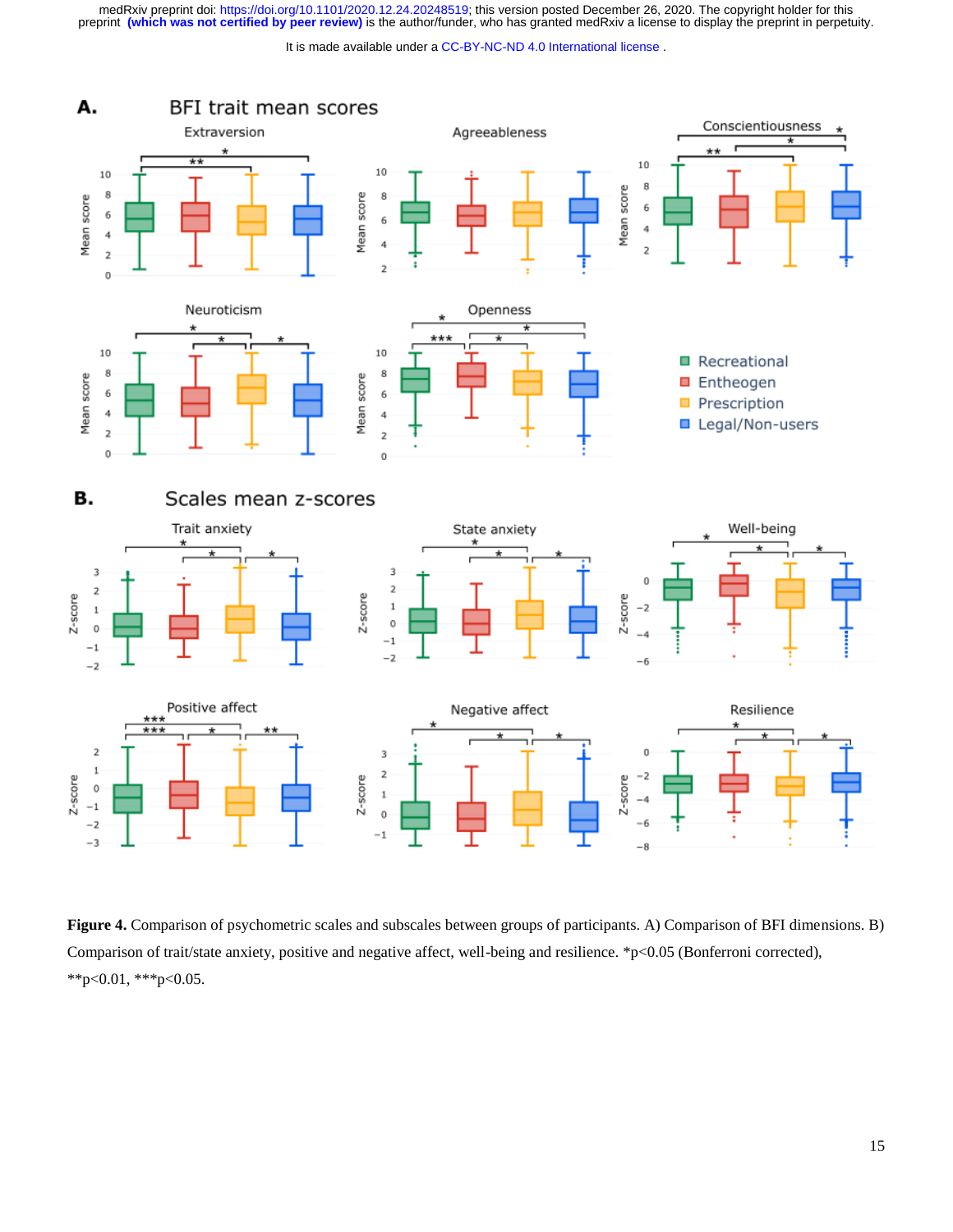medRxiv preprint doi: [https://doi.org/10.1101/2020.12.24.20248519;](https://doi.org/10.1101/2020.12.24.20248519) this version posted December 26, 2020. The copyright holder for this<br>preprint (which was not certified by peer review) is the author/funder, who has grante

It is made available under a [CC-BY-NC-ND 4.0 International license](http://creativecommons.org/licenses/by-nc-nd/4.0/) .



**Figure 4.** Comparison of psychometric scales and subscales between groups of participants. A) Comparison of BFI dimensions. B) Comparison of trait/state anxiety, positive and negative affect, well-being and resilience. \*p<0.05 (Bonferroni corrected), \*\*p<0.01, \*\*\*p<0.05.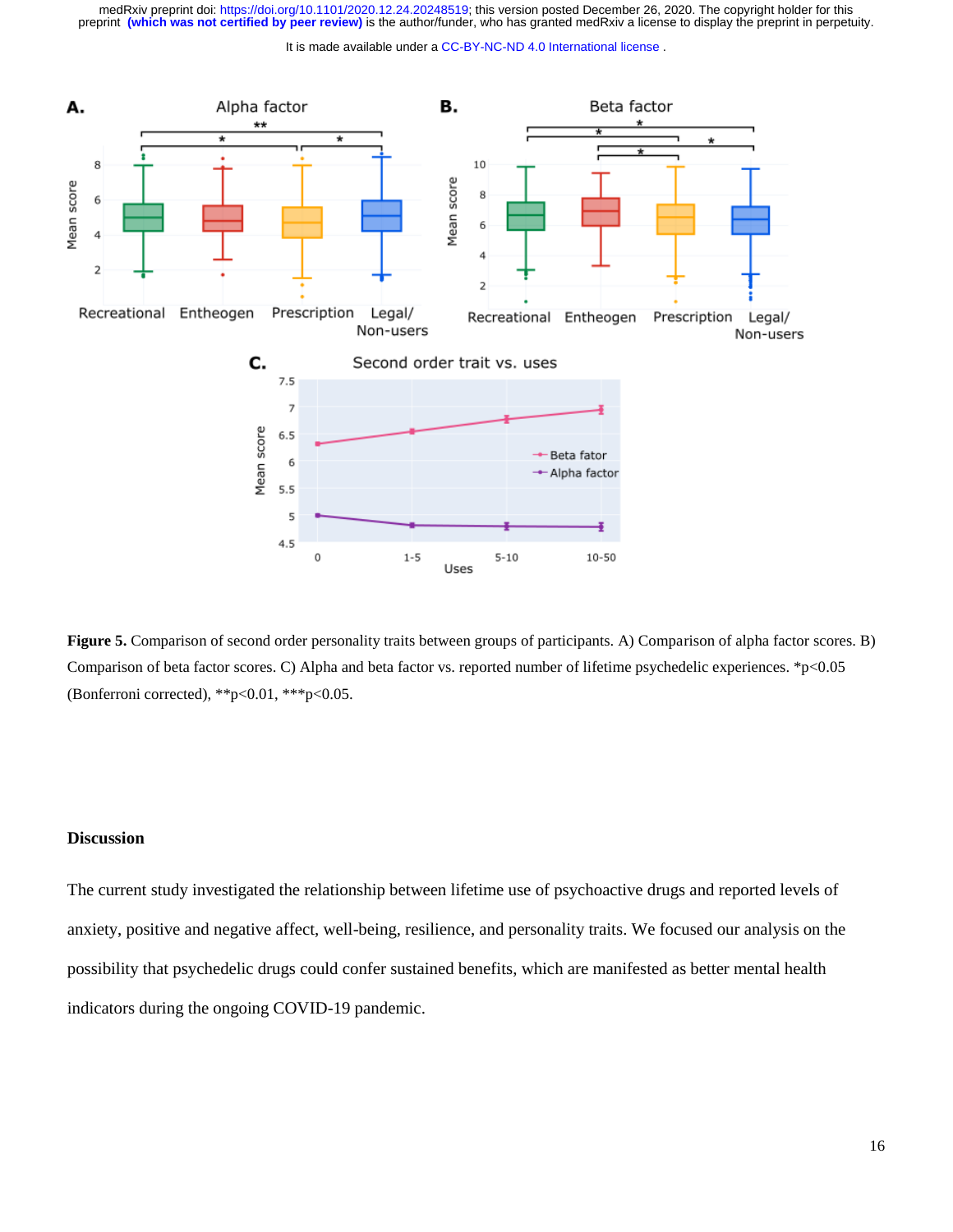It is made available under a [CC-BY-NC-ND 4.0 International license](http://creativecommons.org/licenses/by-nc-nd/4.0/) .



**Figure 5.** Comparison of second order personality traits between groups of participants. A) Comparison of alpha factor scores. B) Comparison of beta factor scores. C) Alpha and beta factor vs. reported number of lifetime psychedelic experiences. \*p<0.05 (Bonferroni corrected), \*\*p<0.01, \*\*\*p<0.05.

## **Discussion**

The current study investigated the relationship between lifetime use of psychoactive drugs and reported levels of anxiety, positive and negative affect, well-being, resilience, and personality traits. We focused our analysis on the possibility that psychedelic drugs could confer sustained benefits, which are manifested as better mental health indicators during the ongoing COVID-19 pandemic.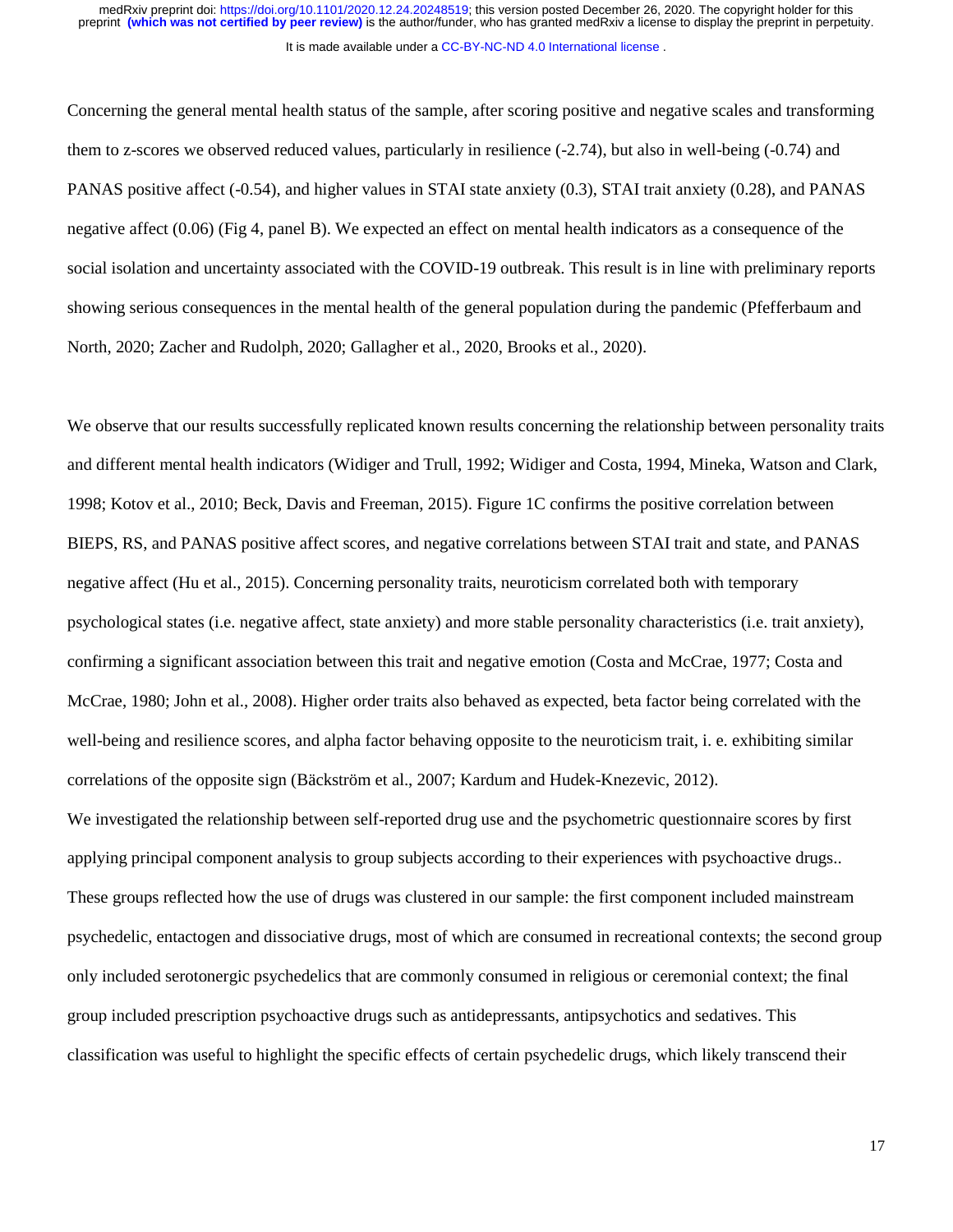Concerning the general mental health status of the sample, after scoring positive and negative scales and transforming them to z-scores we observed reduced values, particularly in resilience (-2.74), but also in well-being (-0.74) and PANAS positive affect (-0.54), and higher values in STAI state anxiety (0.3), STAI trait anxiety (0.28), and PANAS negative affect (0.06) (Fig 4, panel B). We expected an effect on mental health indicators as a consequence of the social isolation and uncertainty associated with the COVID-19 outbreak. This result is in line with preliminary reports showing serious consequences in the mental health of the general population during the pandemic (Pfefferbaum and North, 2020; Zacher and Rudolph, 2020; Gallagher et al., 2020, Brooks et al., 2020).

We observe that our results successfully replicated known results concerning the relationship between personality traits and different mental health indicators (Widiger and Trull, 1992; Widiger and Costa, 1994, Mineka, Watson and Clark, 1998; Kotov et al., 2010; Beck, Davis and Freeman, 2015). Figure 1C confirms the positive correlation between BIEPS, RS, and PANAS positive affect scores, and negative correlations between STAI trait and state, and PANAS negative affect (Hu et al., 2015). Concerning personality traits, neuroticism correlated both with temporary psychological states (i.e. negative affect, state anxiety) and more stable personality characteristics (i.e. trait anxiety), confirming a significant association between this trait and negative emotion (Costa and McCrae, 1977; Costa and McCrae, 1980; John et al., 2008). Higher order traits also behaved as expected, beta factor being correlated with the well-being and resilience scores, and alpha factor behaving opposite to the neuroticism trait, i. e. exhibiting similar correlations of the opposite sign (Bäckström et al., 2007; Kardum and Hudek-Knezevic, 2012).

We investigated the relationship between self-reported drug use and the psychometric questionnaire scores by first applying principal component analysis to group subjects according to their experiences with psychoactive drugs.. These groups reflected how the use of drugs was clustered in our sample: the first component included mainstream psychedelic, entactogen and dissociative drugs, most of which are consumed in recreational contexts; the second group only included serotonergic psychedelics that are commonly consumed in religious or ceremonial context; the final group included prescription psychoactive drugs such as antidepressants, antipsychotics and sedatives. This classification was useful to highlight the specific effects of certain psychedelic drugs, which likely transcend their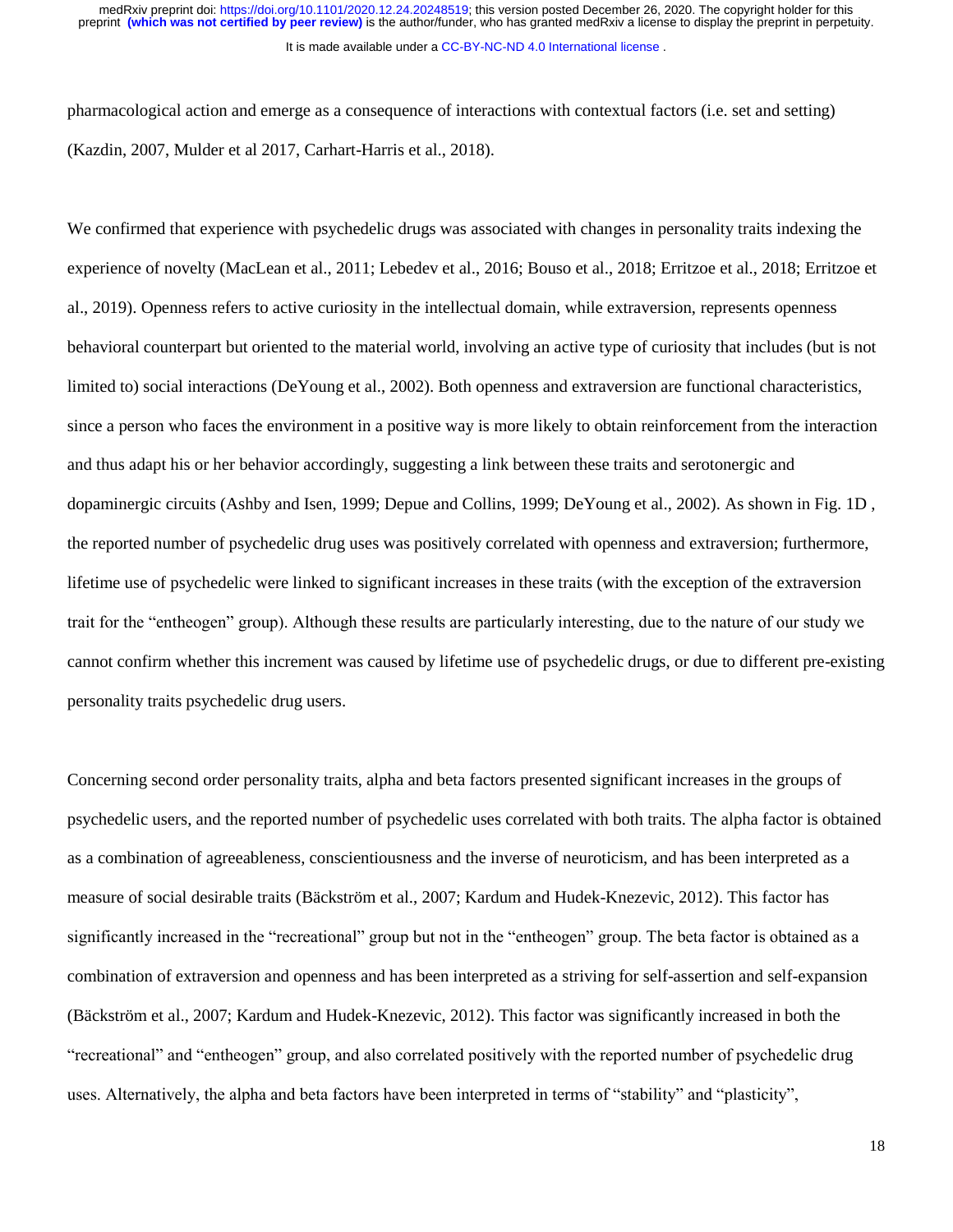pharmacological action and emerge as a consequence of interactions with contextual factors (i.e. set and setting) (Kazdin, 2007, Mulder et al 2017, Carhart-Harris et al., 2018).

We confirmed that experience with psychedelic drugs was associated with changes in personality traits indexing the experience of novelty (MacLean et al., 2011; Lebedev et al., 2016; Bouso et al., 2018; Erritzoe et al., 2018; Erritzoe et al., 2019). Openness refers to active curiosity in the intellectual domain, while extraversion, represents openness behavioral counterpart but oriented to the material world, involving an active type of curiosity that includes (but is not limited to) social interactions (DeYoung et al., 2002). Both openness and extraversion are functional characteristics, since a person who faces the environment in a positive way is more likely to obtain reinforcement from the interaction and thus adapt his or her behavior accordingly, suggesting a link between these traits and serotonergic and dopaminergic circuits (Ashby and Isen, 1999; Depue and Collins, 1999; DeYoung et al., 2002). As shown in Fig. 1D , the reported number of psychedelic drug uses was positively correlated with openness and extraversion; furthermore, lifetime use of psychedelic were linked to significant increases in these traits (with the exception of the extraversion trait for the "entheogen" group). Although these results are particularly interesting, due to the nature of our study we cannot confirm whether this increment was caused by lifetime use of psychedelic drugs, or due to different pre-existing personality traits psychedelic drug users.

Concerning second order personality traits, alpha and beta factors presented significant increases in the groups of psychedelic users, and the reported number of psychedelic uses correlated with both traits. The alpha factor is obtained as a combination of agreeableness, conscientiousness and the inverse of neuroticism, and has been interpreted as a measure of social desirable traits (Bäckström et al., 2007; Kardum and Hudek-Knezevic, 2012). This factor has significantly increased in the "recreational" group but not in the "entheogen" group. The beta factor is obtained as a combination of extraversion and openness and has been interpreted as a striving for self-assertion and self-expansion (Bäckström et al., 2007; Kardum and Hudek-Knezevic, 2012). This factor was significantly increased in both the "recreational" and "entheogen" group, and also correlated positively with the reported number of psychedelic drug uses. Alternatively, the alpha and beta factors have been interpreted in terms of "stability" and "plasticity",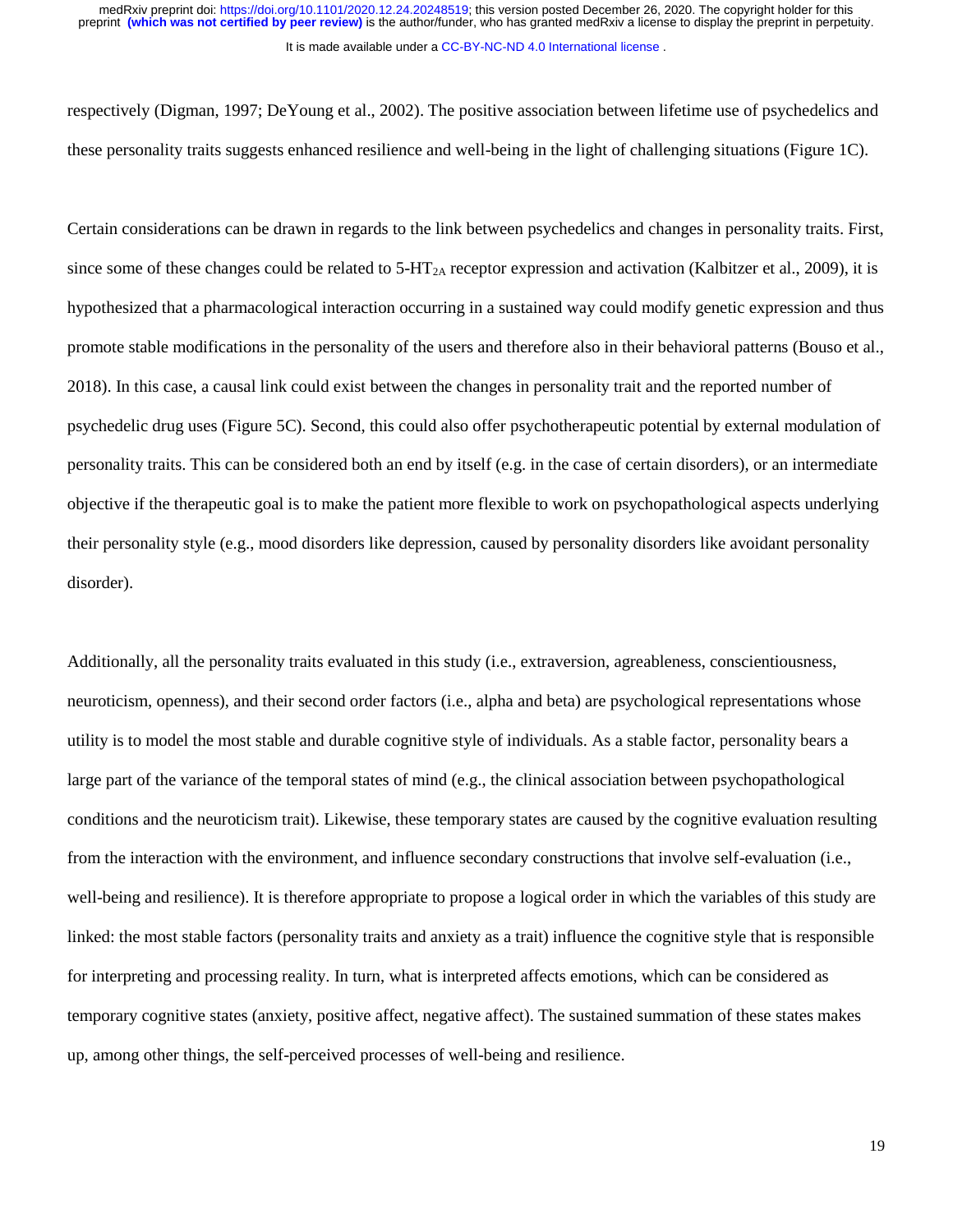respectively (Digman, 1997; DeYoung et al., 2002). The positive association between lifetime use of psychedelics and these personality traits suggests enhanced resilience and well-being in the light of challenging situations (Figure 1C).

Certain considerations can be drawn in regards to the link between psychedelics and changes in personality traits. First, since some of these changes could be related to  $5-\text{HT}_{2A}$  receptor expression and activation (Kalbitzer et al., 2009), it is hypothesized that a pharmacological interaction occurring in a sustained way could modify genetic expression and thus promote stable modifications in the personality of the users and therefore also in their behavioral patterns (Bouso et al., 2018). In this case, a causal link could exist between the changes in personality trait and the reported number of psychedelic drug uses (Figure 5C). Second, this could also offer psychotherapeutic potential by external modulation of personality traits. This can be considered both an end by itself (e.g. in the case of certain disorders), or an intermediate objective if the therapeutic goal is to make the patient more flexible to work on psychopathological aspects underlying their personality style (e.g., mood disorders like depression, caused by personality disorders like avoidant personality disorder).

Additionally, all the personality traits evaluated in this study (i.e., extraversion, agreableness, conscientiousness, neuroticism, openness), and their second order factors (i.e., alpha and beta) are psychological representations whose utility is to model the most stable and durable cognitive style of individuals. As a stable factor, personality bears a large part of the variance of the temporal states of mind (e.g., the clinical association between psychopathological conditions and the neuroticism trait). Likewise, these temporary states are caused by the cognitive evaluation resulting from the interaction with the environment, and influence secondary constructions that involve self-evaluation (i.e., well-being and resilience). It is therefore appropriate to propose a logical order in which the variables of this study are linked: the most stable factors (personality traits and anxiety as a trait) influence the cognitive style that is responsible for interpreting and processing reality. In turn, what is interpreted affects emotions, which can be considered as temporary cognitive states (anxiety, positive affect, negative affect). The sustained summation of these states makes up, among other things, the self-perceived processes of well-being and resilience.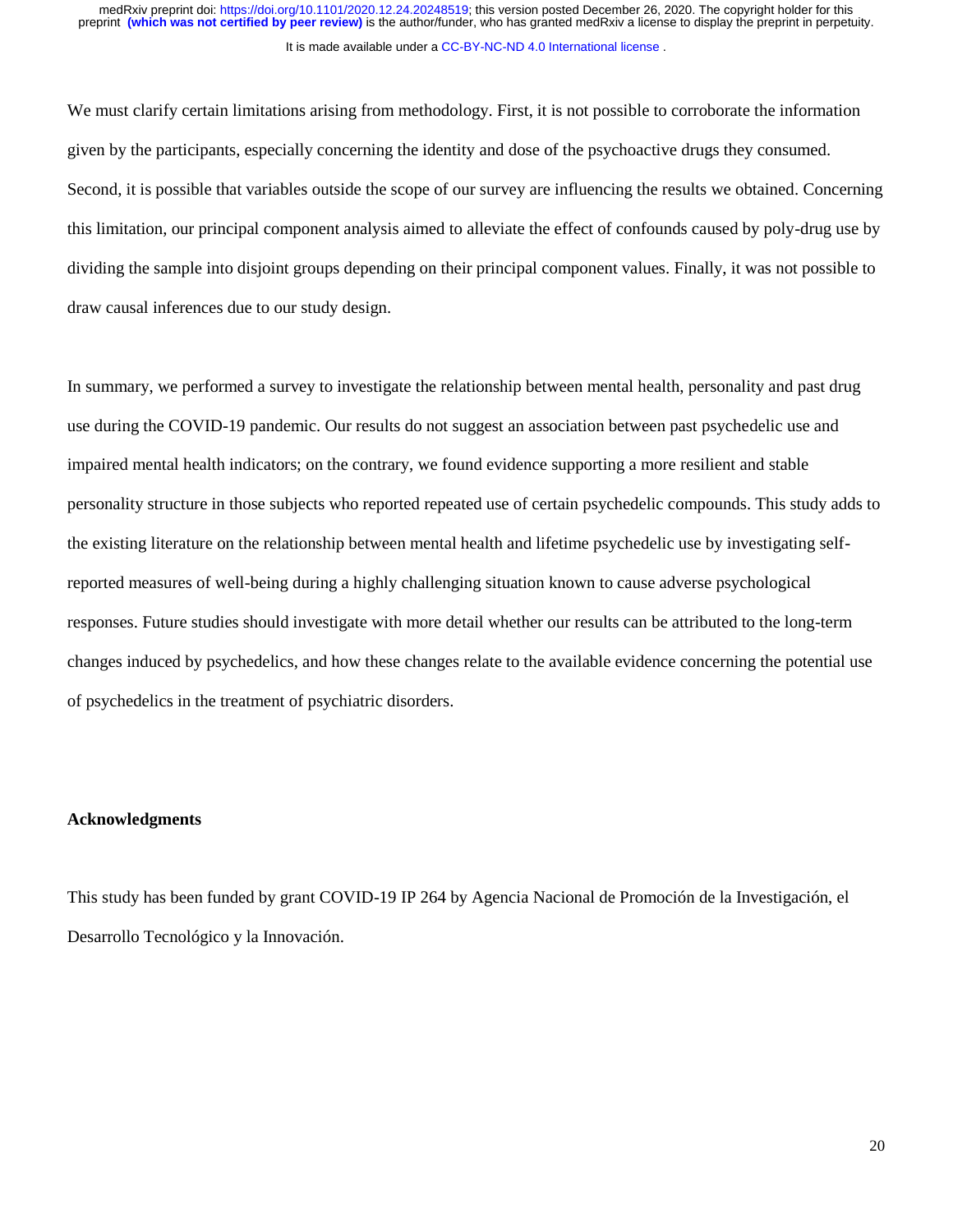We must clarify certain limitations arising from methodology. First, it is not possible to corroborate the information given by the participants, especially concerning the identity and dose of the psychoactive drugs they consumed. Second, it is possible that variables outside the scope of our survey are influencing the results we obtained. Concerning this limitation, our principal component analysis aimed to alleviate the effect of confounds caused by poly-drug use by dividing the sample into disjoint groups depending on their principal component values. Finally, it was not possible to draw causal inferences due to our study design.

In summary, we performed a survey to investigate the relationship between mental health, personality and past drug use during the COVID-19 pandemic. Our results do not suggest an association between past psychedelic use and impaired mental health indicators; on the contrary, we found evidence supporting a more resilient and stable personality structure in those subjects who reported repeated use of certain psychedelic compounds. This study adds to the existing literature on the relationship between mental health and lifetime psychedelic use by investigating selfreported measures of well-being during a highly challenging situation known to cause adverse psychological responses. Future studies should investigate with more detail whether our results can be attributed to the long-term changes induced by psychedelics, and how these changes relate to the available evidence concerning the potential use of psychedelics in the treatment of psychiatric disorders.

## **Acknowledgments**

This study has been funded by grant COVID-19 IP 264 by Agencia Nacional de Promoción de la Investigación, el Desarrollo Tecnológico y la Innovación.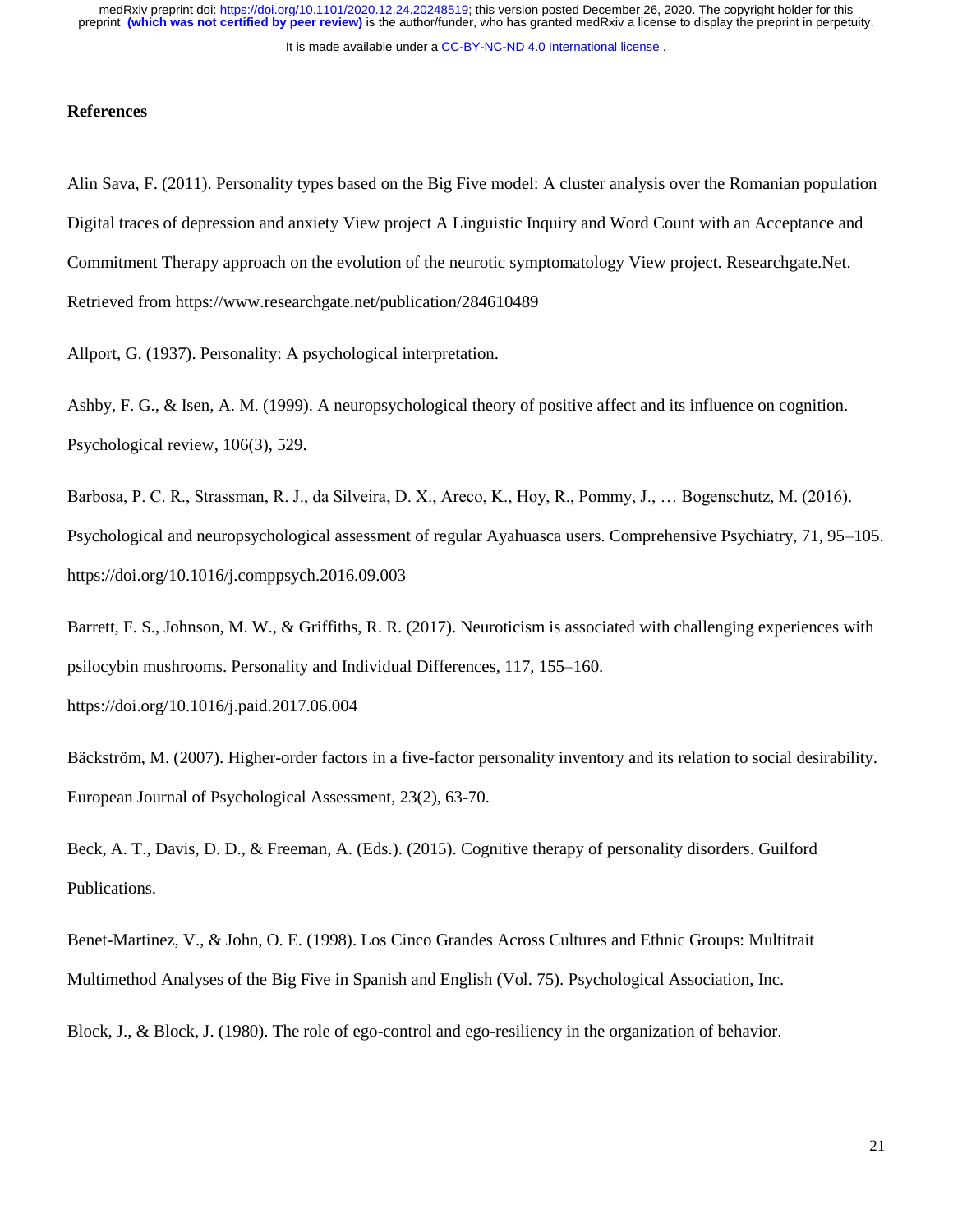It is made available under a [CC-BY-NC-ND 4.0 International license](http://creativecommons.org/licenses/by-nc-nd/4.0/) .

## **References**

Alin Sava, F. (2011). Personality types based on the Big Five model: A cluster analysis over the Romanian population Digital traces of depression and anxiety View project A Linguistic Inquiry and Word Count with an Acceptance and Commitment Therapy approach on the evolution of the neurotic symptomatology View project. Researchgate.Net. Retrieved from https://www.researchgate.net/publication/284610489

Allport, G. (1937). Personality: A psychological interpretation.

Ashby, F. G., & Isen, A. M. (1999). A neuropsychological theory of positive affect and its influence on cognition. Psychological review, 106(3), 529.

Barbosa, P. C. R., Strassman, R. J., da Silveira, D. X., Areco, K., Hoy, R., Pommy, J., … Bogenschutz, M. (2016). Psychological and neuropsychological assessment of regular Ayahuasca users. Comprehensive Psychiatry, 71, 95–105. https://doi.org/10.1016/j.comppsych.2016.09.003

Barrett, F. S., Johnson, M. W., & Griffiths, R. R. (2017). Neuroticism is associated with challenging experiences with psilocybin mushrooms. Personality and Individual Differences, 117, 155–160.

https://doi.org/10.1016/j.paid.2017.06.004

Bäckström, M. (2007). Higher-order factors in a five-factor personality inventory and its relation to social desirability. European Journal of Psychological Assessment, 23(2), 63-70.

Beck, A. T., Davis, D. D., & Freeman, A. (Eds.). (2015). Cognitive therapy of personality disorders. Guilford Publications.

Benet-Martinez, V., & John, O. E. (1998). Los Cinco Grandes Across Cultures and Ethnic Groups: Multitrait Multimethod Analyses of the Big Five in Spanish and English (Vol. 75). Psychological Association, Inc.

Block, J., & Block, J. (1980). The role of ego-control and ego-resiliency in the organization of behavior.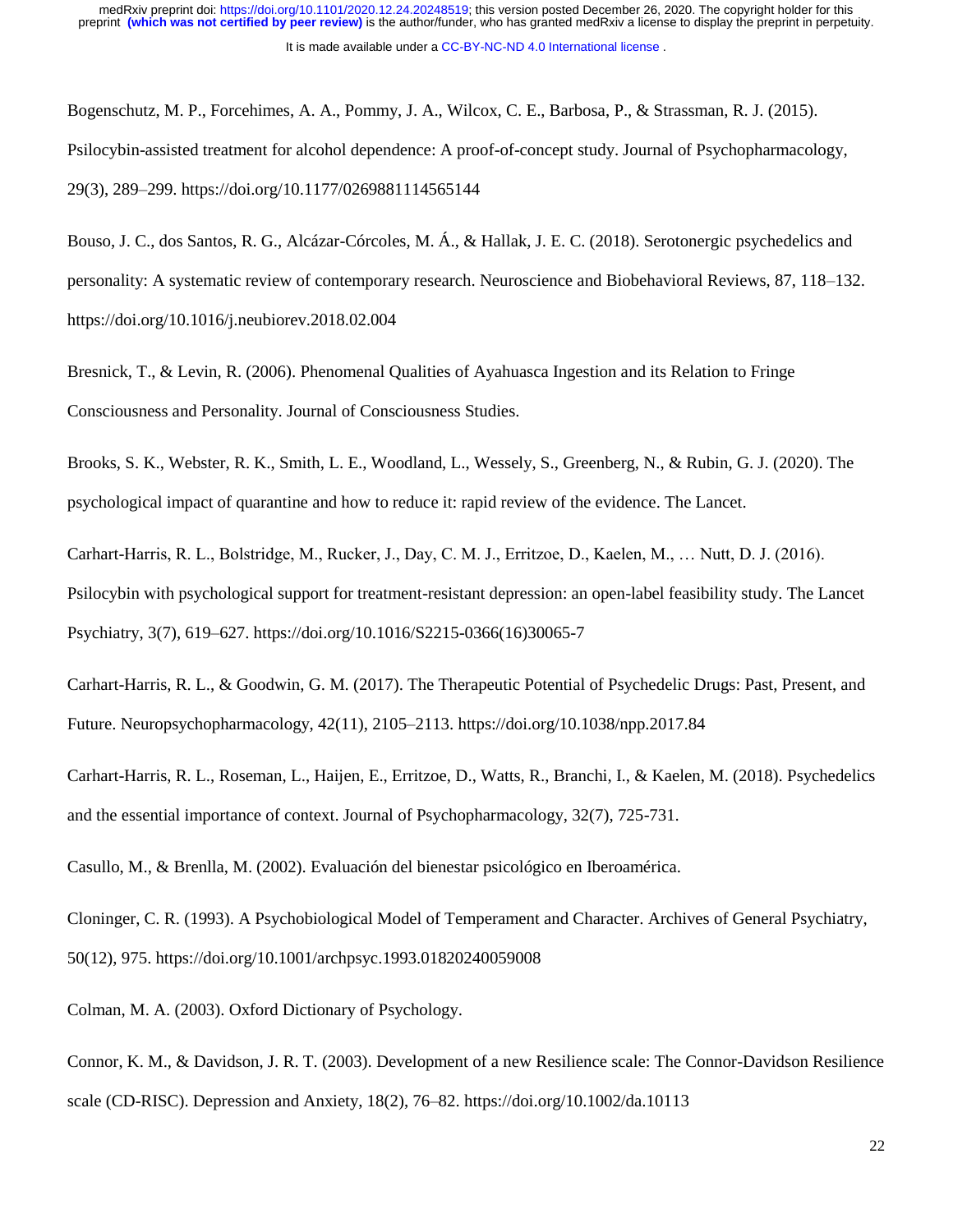Bogenschutz, M. P., Forcehimes, A. A., Pommy, J. A., Wilcox, C. E., Barbosa, P., & Strassman, R. J. (2015). Psilocybin-assisted treatment for alcohol dependence: A proof-of-concept study. Journal of Psychopharmacology, 29(3), 289–299. https://doi.org/10.1177/0269881114565144

Bouso, J. C., dos Santos, R. G., Alcázar-Córcoles, M. Á., & Hallak, J. E. C. (2018). Serotonergic psychedelics and personality: A systematic review of contemporary research. Neuroscience and Biobehavioral Reviews, 87, 118–132. https://doi.org/10.1016/j.neubiorev.2018.02.004

Bresnick, T., & Levin, R. (2006). Phenomenal Qualities of Ayahuasca Ingestion and its Relation to Fringe Consciousness and Personality. Journal of Consciousness Studies.

Brooks, S. K., Webster, R. K., Smith, L. E., Woodland, L., Wessely, S., Greenberg, N., & Rubin, G. J. (2020). The psychological impact of quarantine and how to reduce it: rapid review of the evidence. The Lancet.

Carhart-Harris, R. L., Bolstridge, M., Rucker, J., Day, C. M. J., Erritzoe, D., Kaelen, M., … Nutt, D. J. (2016). Psilocybin with psychological support for treatment-resistant depression: an open-label feasibility study. The Lancet Psychiatry, 3(7), 619–627. https://doi.org/10.1016/S2215-0366(16)30065-7

Carhart-Harris, R. L., & Goodwin, G. M. (2017). The Therapeutic Potential of Psychedelic Drugs: Past, Present, and Future. Neuropsychopharmacology, 42(11), 2105–2113. https://doi.org/10.1038/npp.2017.84

Carhart-Harris, R. L., Roseman, L., Haijen, E., Erritzoe, D., Watts, R., Branchi, I., & Kaelen, M. (2018). Psychedelics and the essential importance of context. Journal of Psychopharmacology, 32(7), 725-731.

Casullo, M., & Brenlla, M. (2002). Evaluación del bienestar psicológico en Iberoamérica.

Cloninger, C. R. (1993). A Psychobiological Model of Temperament and Character. Archives of General Psychiatry, 50(12), 975. https://doi.org/10.1001/archpsyc.1993.01820240059008

Colman, M. A. (2003). Oxford Dictionary of Psychology.

Connor, K. M., & Davidson, J. R. T. (2003). Development of a new Resilience scale: The Connor-Davidson Resilience scale (CD-RISC). Depression and Anxiety, 18(2), 76–82. https://doi.org/10.1002/da.10113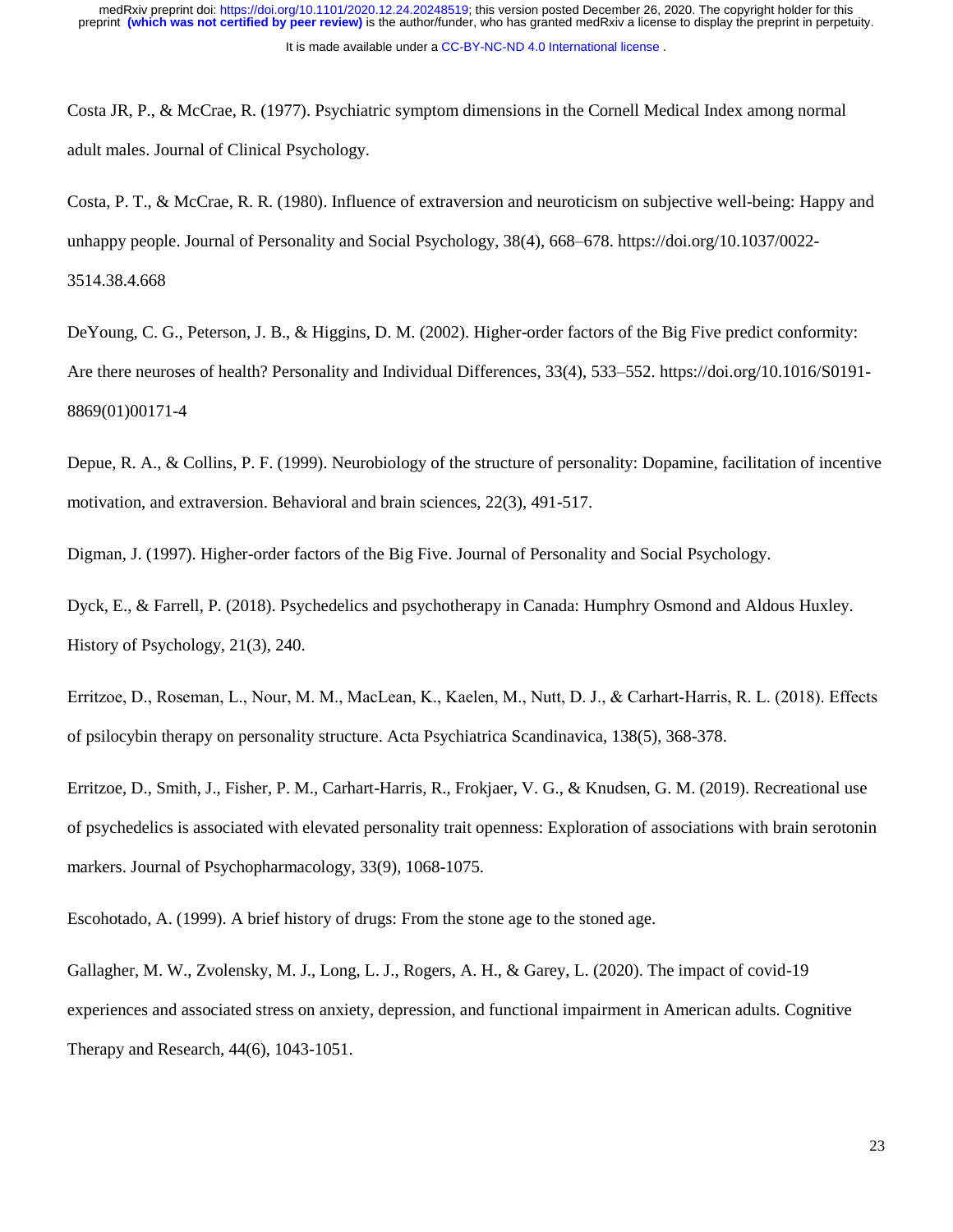Costa JR, P., & McCrae, R. (1977). Psychiatric symptom dimensions in the Cornell Medical Index among normal adult males. Journal of Clinical Psychology.

Costa, P. T., & McCrae, R. R. (1980). Influence of extraversion and neuroticism on subjective well-being: Happy and unhappy people. Journal of Personality and Social Psychology, 38(4), 668–678. https://doi.org/10.1037/0022- 3514.38.4.668

DeYoung, C. G., Peterson, J. B., & Higgins, D. M. (2002). Higher-order factors of the Big Five predict conformity: Are there neuroses of health? Personality and Individual Differences, 33(4), 533–552. https://doi.org/10.1016/S0191- 8869(01)00171-4

Depue, R. A., & Collins, P. F. (1999). Neurobiology of the structure of personality: Dopamine, facilitation of incentive motivation, and extraversion. Behavioral and brain sciences, 22(3), 491-517.

Digman, J. (1997). Higher-order factors of the Big Five. Journal of Personality and Social Psychology.

Dyck, E., & Farrell, P. (2018). Psychedelics and psychotherapy in Canada: Humphry Osmond and Aldous Huxley. History of Psychology, 21(3), 240.

Erritzoe, D., Roseman, L., Nour, M. M., MacLean, K., Kaelen, M., Nutt, D. J., & Carhart‐Harris, R. L. (2018). Effects of psilocybin therapy on personality structure. Acta Psychiatrica Scandinavica, 138(5), 368-378.

Erritzoe, D., Smith, J., Fisher, P. M., Carhart-Harris, R., Frokjaer, V. G., & Knudsen, G. M. (2019). Recreational use of psychedelics is associated with elevated personality trait openness: Exploration of associations with brain serotonin markers. Journal of Psychopharmacology, 33(9), 1068-1075.

Escohotado, A. (1999). A brief history of drugs: From the stone age to the stoned age.

Gallagher, M. W., Zvolensky, M. J., Long, L. J., Rogers, A. H., & Garey, L. (2020). The impact of covid-19 experiences and associated stress on anxiety, depression, and functional impairment in American adults. Cognitive Therapy and Research, 44(6), 1043-1051.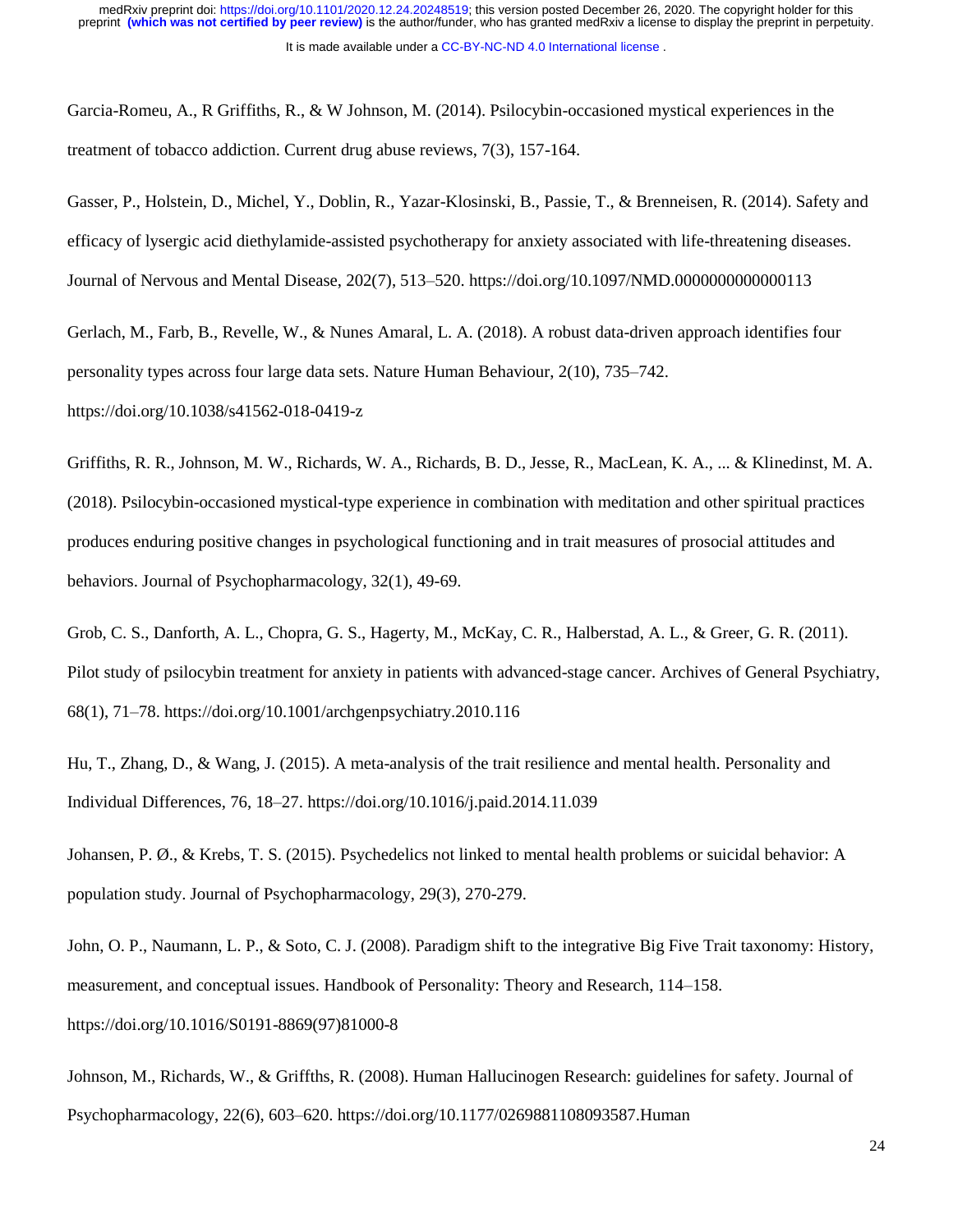Garcia-Romeu, A., R Griffiths, R., & W Johnson, M. (2014). Psilocybin-occasioned mystical experiences in the treatment of tobacco addiction. Current drug abuse reviews, 7(3), 157-164.

Gasser, P., Holstein, D., Michel, Y., Doblin, R., Yazar-Klosinski, B., Passie, T., & Brenneisen, R. (2014). Safety and efficacy of lysergic acid diethylamide-assisted psychotherapy for anxiety associated with life-threatening diseases. Journal of Nervous and Mental Disease, 202(7), 513–520. https://doi.org/10.1097/NMD.0000000000000113

Gerlach, M., Farb, B., Revelle, W., & Nunes Amaral, L. A. (2018). A robust data-driven approach identifies four personality types across four large data sets. Nature Human Behaviour, 2(10), 735–742. https://doi.org/10.1038/s41562-018-0419-z

Griffiths, R. R., Johnson, M. W., Richards, W. A., Richards, B. D., Jesse, R., MacLean, K. A., ... & Klinedinst, M. A. (2018). Psilocybin-occasioned mystical-type experience in combination with meditation and other spiritual practices produces enduring positive changes in psychological functioning and in trait measures of prosocial attitudes and behaviors. Journal of Psychopharmacology, 32(1), 49-69.

Grob, C. S., Danforth, A. L., Chopra, G. S., Hagerty, M., McKay, C. R., Halberstad, A. L., & Greer, G. R. (2011). Pilot study of psilocybin treatment for anxiety in patients with advanced-stage cancer. Archives of General Psychiatry, 68(1), 71–78. https://doi.org/10.1001/archgenpsychiatry.2010.116

Hu, T., Zhang, D., & Wang, J. (2015). A meta-analysis of the trait resilience and mental health. Personality and Individual Differences, 76, 18–27. https://doi.org/10.1016/j.paid.2014.11.039

Johansen, P. Ø., & Krebs, T. S. (2015). Psychedelics not linked to mental health problems or suicidal behavior: A population study. Journal of Psychopharmacology, 29(3), 270-279.

John, O. P., Naumann, L. P., & Soto, C. J. (2008). Paradigm shift to the integrative Big Five Trait taxonomy: History, measurement, and conceptual issues. Handbook of Personality: Theory and Research, 114–158. https://doi.org/10.1016/S0191-8869(97)81000-8

Johnson, M., Richards, W., & Griffths, R. (2008). Human Hallucinogen Research: guidelines for safety. Journal of Psychopharmacology, 22(6), 603–620. https://doi.org/10.1177/0269881108093587.Human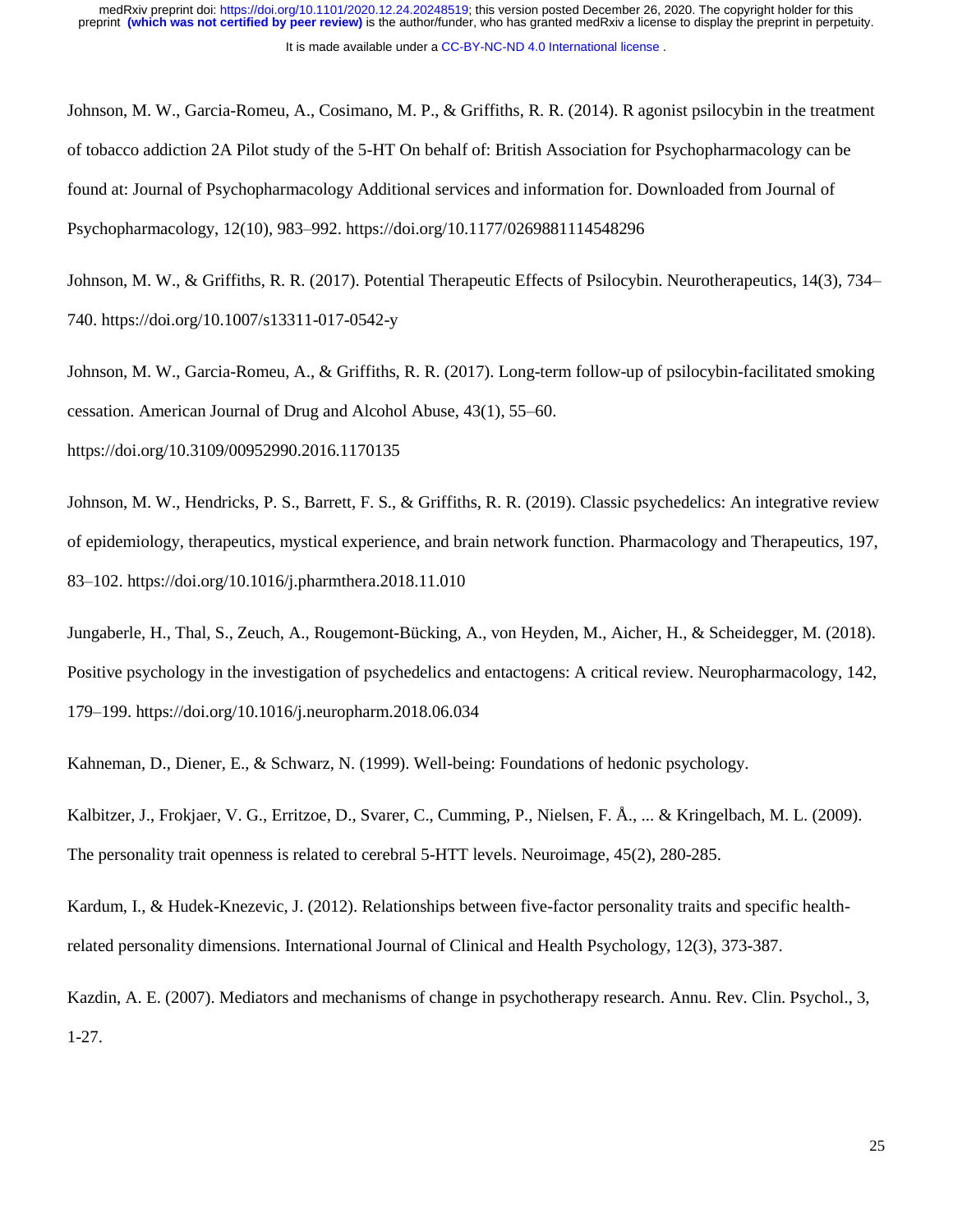Johnson, M. W., Garcia-Romeu, A., Cosimano, M. P., & Griffiths, R. R. (2014). R agonist psilocybin in the treatment of tobacco addiction 2A Pilot study of the 5-HT On behalf of: British Association for Psychopharmacology can be found at: Journal of Psychopharmacology Additional services and information for. Downloaded from Journal of Psychopharmacology, 12(10), 983–992. https://doi.org/10.1177/0269881114548296

Johnson, M. W., & Griffiths, R. R. (2017). Potential Therapeutic Effects of Psilocybin. Neurotherapeutics, 14(3), 734– 740. https://doi.org/10.1007/s13311-017-0542-y

Johnson, M. W., Garcia-Romeu, A., & Griffiths, R. R. (2017). Long-term follow-up of psilocybin-facilitated smoking cessation. American Journal of Drug and Alcohol Abuse, 43(1), 55–60.

https://doi.org/10.3109/00952990.2016.1170135

Johnson, M. W., Hendricks, P. S., Barrett, F. S., & Griffiths, R. R. (2019). Classic psychedelics: An integrative review of epidemiology, therapeutics, mystical experience, and brain network function. Pharmacology and Therapeutics, 197, 83–102. https://doi.org/10.1016/j.pharmthera.2018.11.010

Jungaberle, H., Thal, S., Zeuch, A., Rougemont-Bücking, A., von Heyden, M., Aicher, H., & Scheidegger, M. (2018). Positive psychology in the investigation of psychedelics and entactogens: A critical review. Neuropharmacology, 142, 179–199. https://doi.org/10.1016/j.neuropharm.2018.06.034

Kahneman, D., Diener, E., & Schwarz, N. (1999). Well-being: Foundations of hedonic psychology.

Kalbitzer, J., Frokjaer, V. G., Erritzoe, D., Svarer, C., Cumming, P., Nielsen, F. Å., ... & Kringelbach, M. L. (2009). The personality trait openness is related to cerebral 5-HTT levels. Neuroimage, 45(2), 280-285.

Kardum, I., & Hudek-Knezevic, J. (2012). Relationships between five-factor personality traits and specific healthrelated personality dimensions. International Journal of Clinical and Health Psychology, 12(3), 373-387.

Kazdin, A. E. (2007). Mediators and mechanisms of change in psychotherapy research. Annu. Rev. Clin. Psychol., 3, 1-27.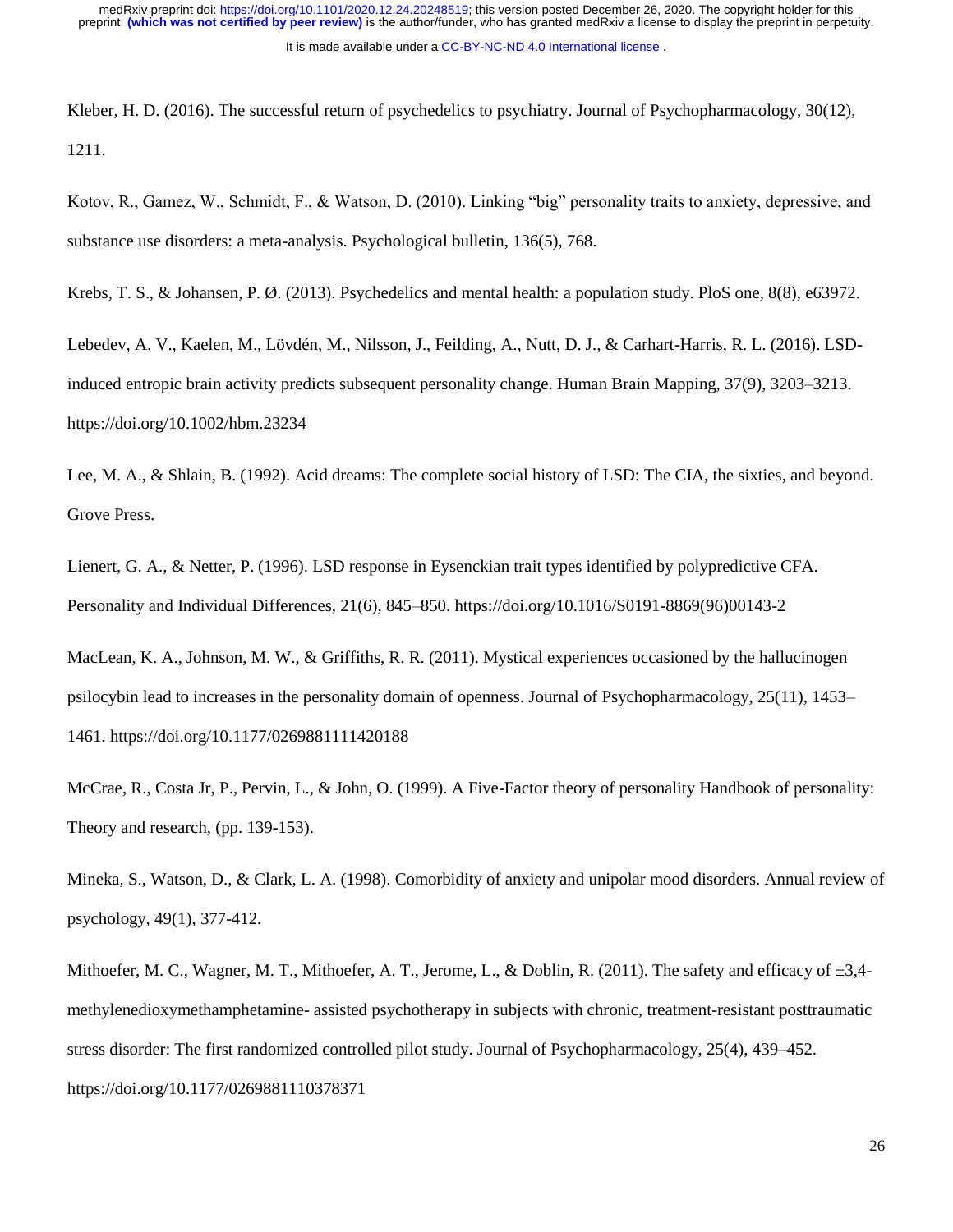Kleber, H. D. (2016). The successful return of psychedelics to psychiatry. Journal of Psychopharmacology, 30(12), 1211.

Kotov, R., Gamez, W., Schmidt, F., & Watson, D. (2010). Linking "big" personality traits to anxiety, depressive, and substance use disorders: a meta-analysis. Psychological bulletin, 136(5), 768.

Krebs, T. S., & Johansen, P. Ø. (2013). Psychedelics and mental health: a population study. PloS one, 8(8), e63972.

Lebedev, A. V., Kaelen, M., Lövdén, M., Nilsson, J., Feilding, A., Nutt, D. J., & Carhart-Harris, R. L. (2016). LSDinduced entropic brain activity predicts subsequent personality change. Human Brain Mapping, 37(9), 3203–3213. https://doi.org/10.1002/hbm.23234

Lee, M. A., & Shlain, B. (1992). Acid dreams: The complete social history of LSD: The CIA, the sixties, and beyond. Grove Press.

Lienert, G. A., & Netter, P. (1996). LSD response in Eysenckian trait types identified by polypredictive CFA. Personality and Individual Differences, 21(6), 845–850. https://doi.org/10.1016/S0191-8869(96)00143-2

MacLean, K. A., Johnson, M. W., & Griffiths, R. R. (2011). Mystical experiences occasioned by the hallucinogen psilocybin lead to increases in the personality domain of openness. Journal of Psychopharmacology, 25(11), 1453– 1461. https://doi.org/10.1177/0269881111420188

McCrae, R., Costa Jr, P., Pervin, L., & John, O. (1999). A Five-Factor theory of personality Handbook of personality: Theory and research, (pp. 139-153).

Mineka, S., Watson, D., & Clark, L. A. (1998). Comorbidity of anxiety and unipolar mood disorders. Annual review of psychology, 49(1), 377-412.

Mithoefer, M. C., Wagner, M. T., Mithoefer, A. T., Jerome, L., & Doblin, R. (2011). The safety and efficacy of ±3,4 methylenedioxymethamphetamine- assisted psychotherapy in subjects with chronic, treatment-resistant posttraumatic stress disorder: The first randomized controlled pilot study. Journal of Psychopharmacology, 25(4), 439–452. https://doi.org/10.1177/0269881110378371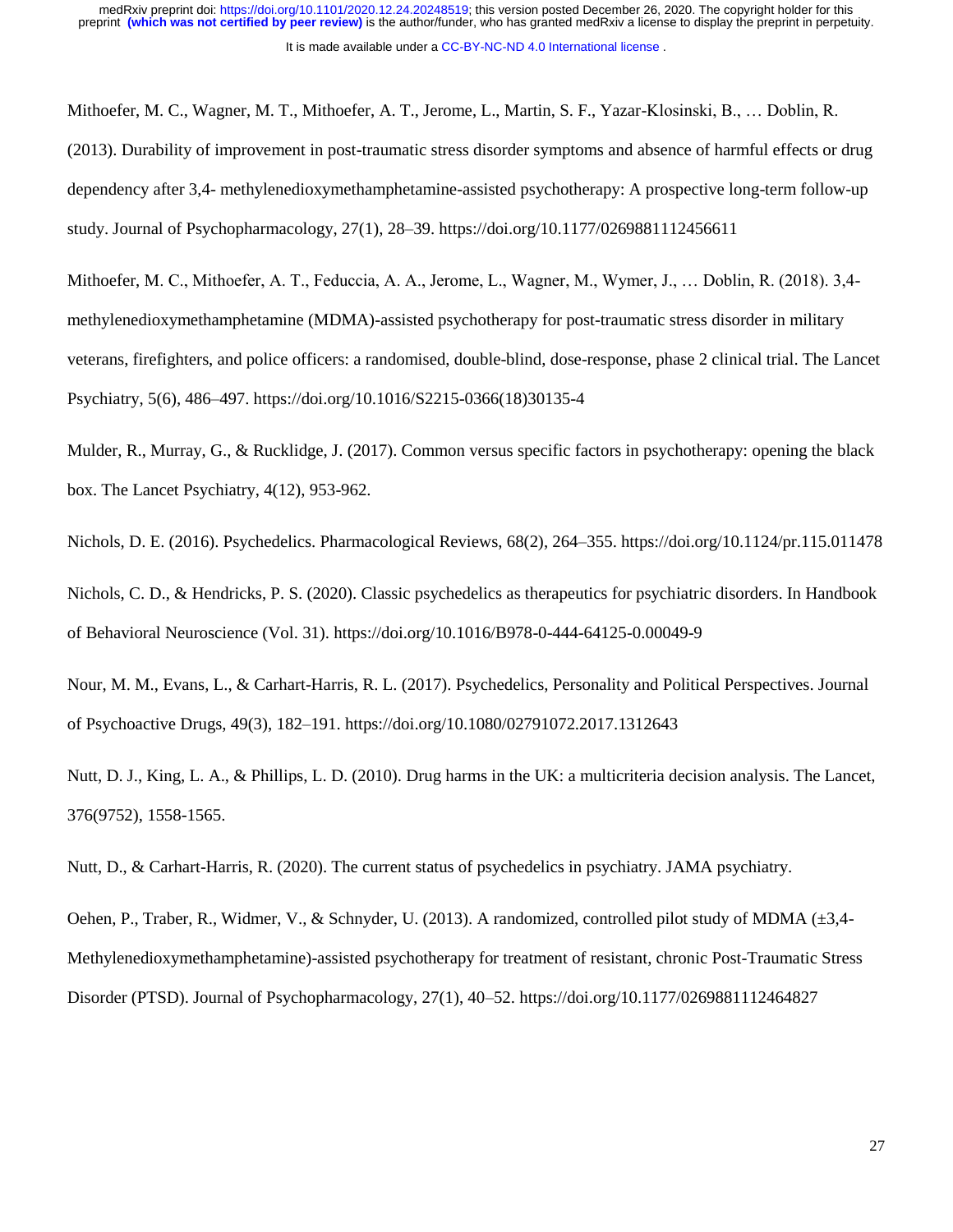Mithoefer, M. C., Wagner, M. T., Mithoefer, A. T., Jerome, L., Martin, S. F., Yazar-Klosinski, B., … Doblin, R. (2013). Durability of improvement in post-traumatic stress disorder symptoms and absence of harmful effects or drug dependency after 3,4- methylenedioxymethamphetamine-assisted psychotherapy: A prospective long-term follow-up study. Journal of Psychopharmacology, 27(1), 28–39. https://doi.org/10.1177/0269881112456611

Mithoefer, M. C., Mithoefer, A. T., Feduccia, A. A., Jerome, L., Wagner, M., Wymer, J., … Doblin, R. (2018). 3,4 methylenedioxymethamphetamine (MDMA)-assisted psychotherapy for post-traumatic stress disorder in military veterans, firefighters, and police officers: a randomised, double-blind, dose-response, phase 2 clinical trial. The Lancet Psychiatry, 5(6), 486–497. https://doi.org/10.1016/S2215-0366(18)30135-4

Mulder, R., Murray, G., & Rucklidge, J. (2017). Common versus specific factors in psychotherapy: opening the black box. The Lancet Psychiatry, 4(12), 953-962.

Nichols, D. E. (2016). Psychedelics. Pharmacological Reviews, 68(2), 264–355. https://doi.org/10.1124/pr.115.011478

Nichols, C. D., & Hendricks, P. S. (2020). Classic psychedelics as therapeutics for psychiatric disorders. In Handbook of Behavioral Neuroscience (Vol. 31). https://doi.org/10.1016/B978-0-444-64125-0.00049-9

Nour, M. M., Evans, L., & Carhart-Harris, R. L. (2017). Psychedelics, Personality and Political Perspectives. Journal of Psychoactive Drugs, 49(3), 182–191. https://doi.org/10.1080/02791072.2017.1312643

Nutt, D. J., King, L. A., & Phillips, L. D. (2010). Drug harms in the UK: a multicriteria decision analysis. The Lancet, 376(9752), 1558-1565.

Nutt, D., & Carhart-Harris, R. (2020). The current status of psychedelics in psychiatry. JAMA psychiatry.

Oehen, P., Traber, R., Widmer, V., & Schnyder, U. (2013). A randomized, controlled pilot study of MDMA (±3,4- Methylenedioxymethamphetamine)-assisted psychotherapy for treatment of resistant, chronic Post-Traumatic Stress Disorder (PTSD). Journal of Psychopharmacology, 27(1), 40–52. https://doi.org/10.1177/0269881112464827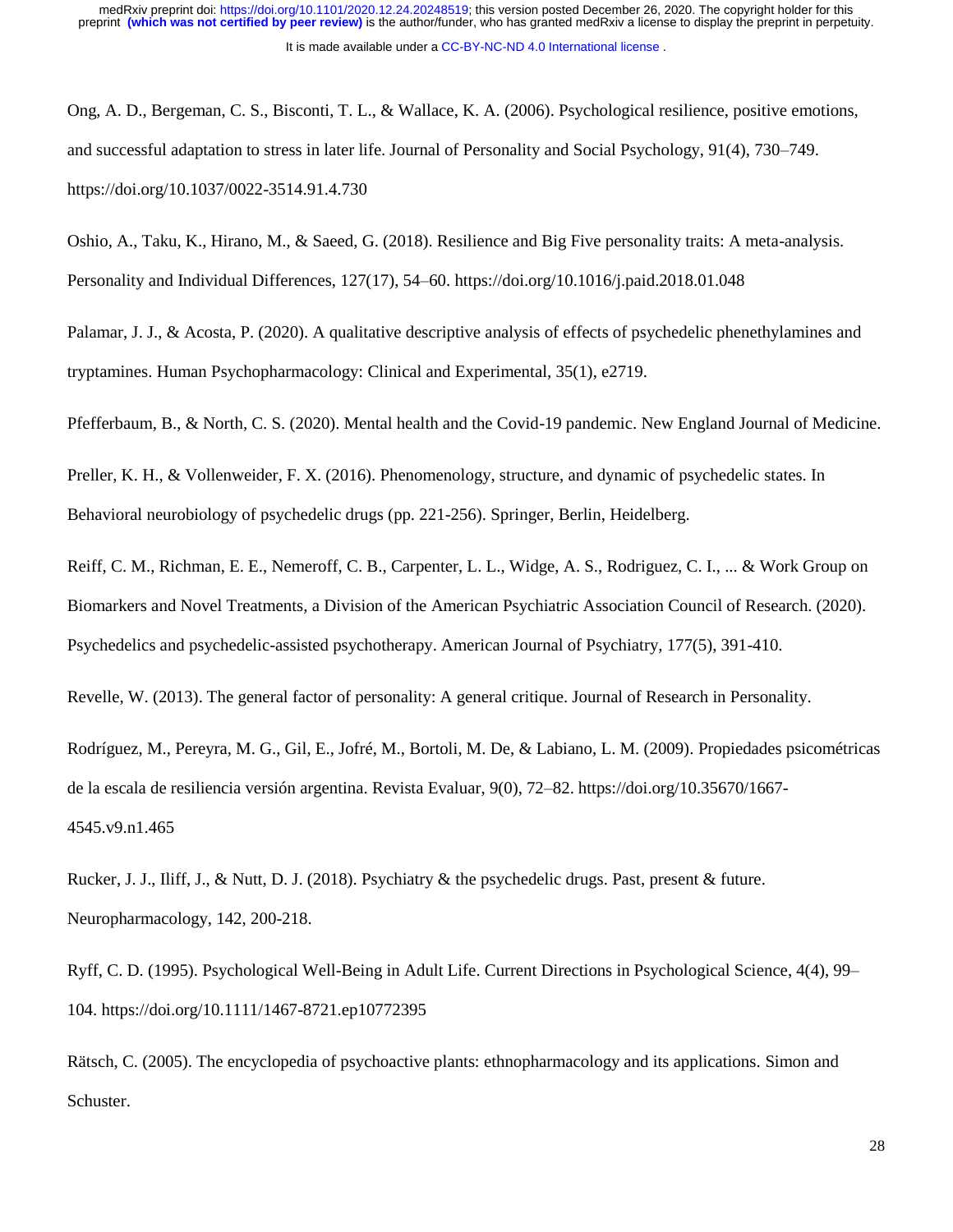Ong, A. D., Bergeman, C. S., Bisconti, T. L., & Wallace, K. A. (2006). Psychological resilience, positive emotions, and successful adaptation to stress in later life. Journal of Personality and Social Psychology, 91(4), 730–749. https://doi.org/10.1037/0022-3514.91.4.730

Oshio, A., Taku, K., Hirano, M., & Saeed, G. (2018). Resilience and Big Five personality traits: A meta-analysis. Personality and Individual Differences, 127(17), 54–60. https://doi.org/10.1016/j.paid.2018.01.048

Palamar, J. J., & Acosta, P. (2020). A qualitative descriptive analysis of effects of psychedelic phenethylamines and tryptamines. Human Psychopharmacology: Clinical and Experimental, 35(1), e2719.

Pfefferbaum, B., & North, C. S. (2020). Mental health and the Covid-19 pandemic. New England Journal of Medicine.

Preller, K. H., & Vollenweider, F. X. (2016). Phenomenology, structure, and dynamic of psychedelic states. In Behavioral neurobiology of psychedelic drugs (pp. 221-256). Springer, Berlin, Heidelberg.

Reiff, C. M., Richman, E. E., Nemeroff, C. B., Carpenter, L. L., Widge, A. S., Rodriguez, C. I., ... & Work Group on Biomarkers and Novel Treatments, a Division of the American Psychiatric Association Council of Research. (2020). Psychedelics and psychedelic-assisted psychotherapy. American Journal of Psychiatry, 177(5), 391-410.

Revelle, W. (2013). The general factor of personality: A general critique. Journal of Research in Personality.

Rodríguez, M., Pereyra, M. G., Gil, E., Jofré, M., Bortoli, M. De, & Labiano, L. M. (2009). Propiedades psicométricas de la escala de resiliencia versión argentina. Revista Evaluar, 9(0), 72–82. https://doi.org/10.35670/1667- 4545.v9.n1.465

Rucker, J. J., Iliff, J., & Nutt, D. J. (2018). Psychiatry & the psychedelic drugs. Past, present & future. Neuropharmacology, 142, 200-218.

Ryff, C. D. (1995). Psychological Well-Being in Adult Life. Current Directions in Psychological Science, 4(4), 99– 104. https://doi.org/10.1111/1467-8721.ep10772395

Rätsch, C. (2005). The encyclopedia of psychoactive plants: ethnopharmacology and its applications. Simon and Schuster.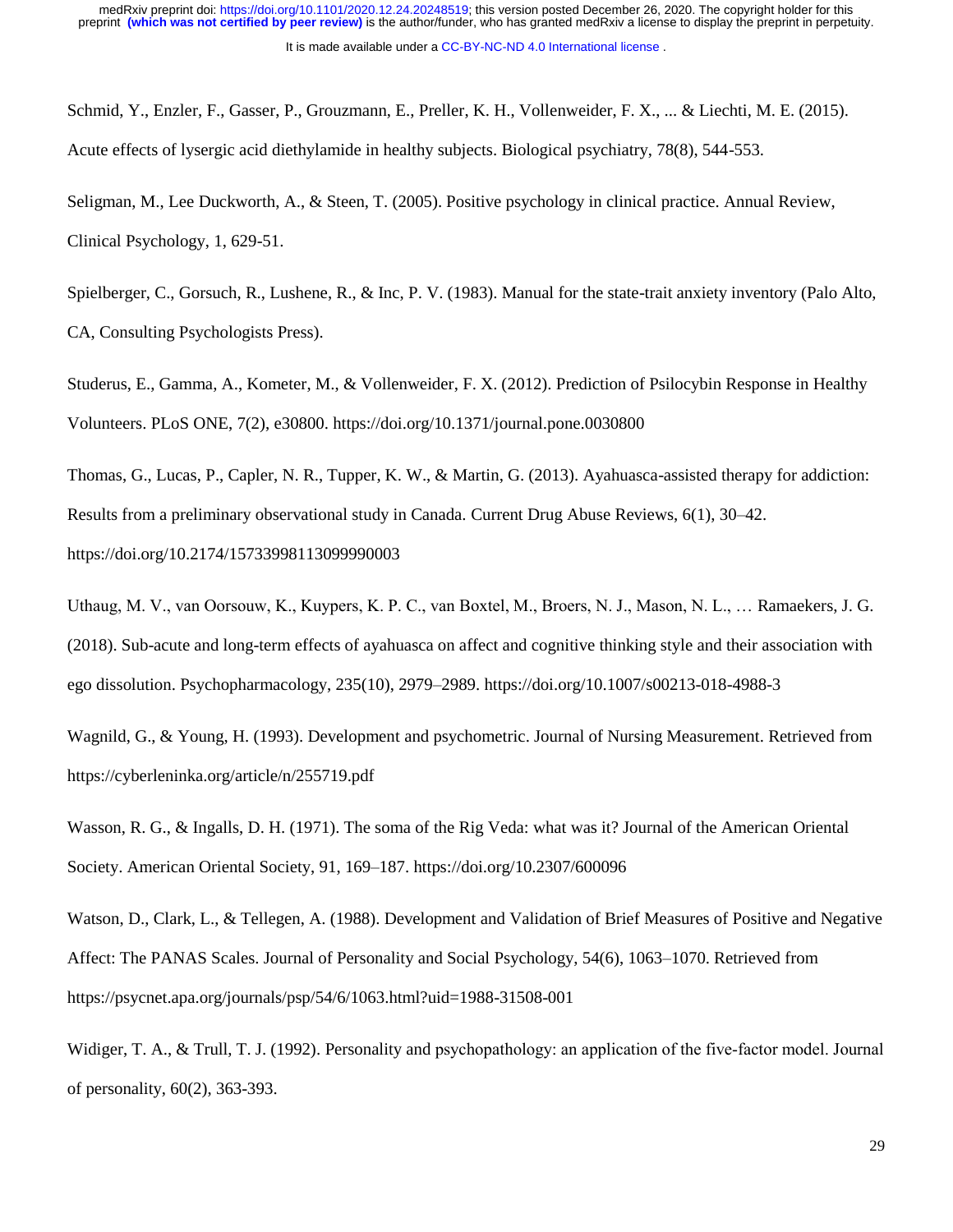Schmid, Y., Enzler, F., Gasser, P., Grouzmann, E., Preller, K. H., Vollenweider, F. X., ... & Liechti, M. E. (2015). Acute effects of lysergic acid diethylamide in healthy subjects. Biological psychiatry, 78(8), 544-553.

Seligman, M., Lee Duckworth, A., & Steen, T. (2005). Positive psychology in clinical practice. Annual Review, Clinical Psychology, 1, 629-51.

Spielberger, C., Gorsuch, R., Lushene, R., & Inc, P. V. (1983). Manual for the state-trait anxiety inventory (Palo Alto, CA, Consulting Psychologists Press).

Studerus, E., Gamma, A., Kometer, M., & Vollenweider, F. X. (2012). Prediction of Psilocybin Response in Healthy Volunteers. PLoS ONE, 7(2), e30800. https://doi.org/10.1371/journal.pone.0030800

Thomas, G., Lucas, P., Capler, N. R., Tupper, K. W., & Martin, G. (2013). Ayahuasca-assisted therapy for addiction: Results from a preliminary observational study in Canada. Current Drug Abuse Reviews, 6(1), 30–42. https://doi.org/10.2174/15733998113099990003

Uthaug, M. V., van Oorsouw, K., Kuypers, K. P. C., van Boxtel, M., Broers, N. J., Mason, N. L., … Ramaekers, J. G. (2018). Sub-acute and long-term effects of ayahuasca on affect and cognitive thinking style and their association with ego dissolution. Psychopharmacology, 235(10), 2979–2989. https://doi.org/10.1007/s00213-018-4988-3

Wagnild, G., & Young, H. (1993). Development and psychometric. Journal of Nursing Measurement. Retrieved from https://cyberleninka.org/article/n/255719.pdf

Wasson, R. G., & Ingalls, D. H. (1971). The soma of the Rig Veda: what was it? Journal of the American Oriental Society. American Oriental Society, 91, 169–187. https://doi.org/10.2307/600096

Watson, D., Clark, L., & Tellegen, A. (1988). Development and Validation of Brief Measures of Positive and Negative Affect: The PANAS Scales. Journal of Personality and Social Psychology, 54(6), 1063–1070. Retrieved from https://psycnet.apa.org/journals/psp/54/6/1063.html?uid=1988-31508-001

Widiger, T. A., & Trull, T. J. (1992). Personality and psychopathology: an application of the five-factor model. Journal of personality, 60(2), 363-393.